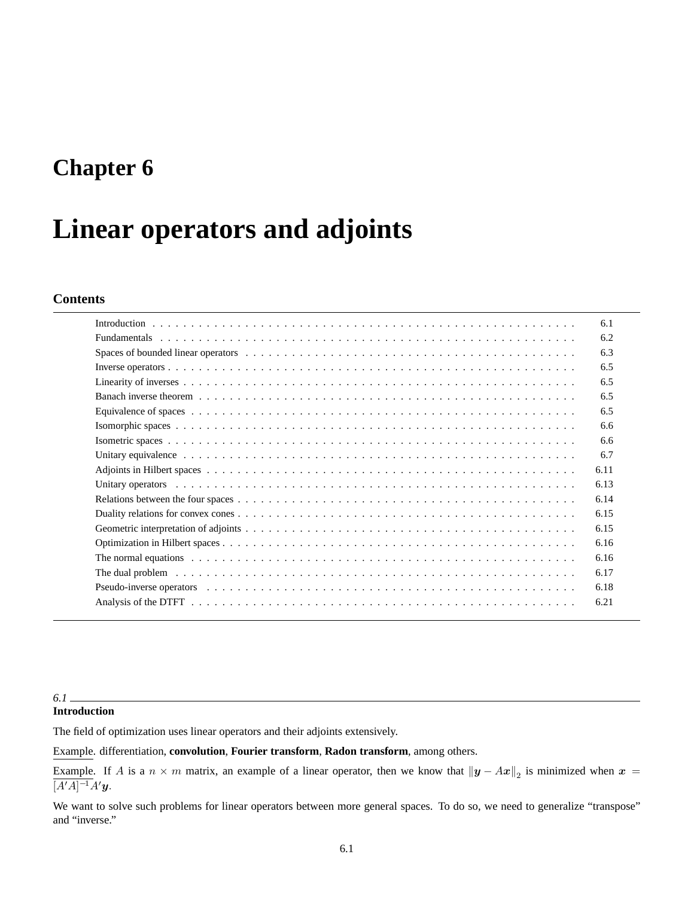# **Chapter 6**

# **Linear operators and adjoints**

# **Contents**

|                                                                                                                                                                                                                                | 6.1  |
|--------------------------------------------------------------------------------------------------------------------------------------------------------------------------------------------------------------------------------|------|
|                                                                                                                                                                                                                                | 6.2  |
|                                                                                                                                                                                                                                | 6.3  |
|                                                                                                                                                                                                                                | 6.5  |
|                                                                                                                                                                                                                                | 6.5  |
|                                                                                                                                                                                                                                | 6.5  |
|                                                                                                                                                                                                                                | 6.5  |
|                                                                                                                                                                                                                                | 6.6  |
|                                                                                                                                                                                                                                | 6.6  |
| Unitary equivalence enterpresent enterpresent resources in the contract of the contract of the contract of the contract of the contract of the contract of the contract of the contract of the contract of the contract of the | 6.7  |
|                                                                                                                                                                                                                                | 6.11 |
|                                                                                                                                                                                                                                | 6.13 |
|                                                                                                                                                                                                                                | 6.14 |
|                                                                                                                                                                                                                                | 6.15 |
|                                                                                                                                                                                                                                | 6.15 |
|                                                                                                                                                                                                                                | 6.16 |
| The normal equations enterprise on the set of the set of the set of the set of the set of the normal equations enterprise on the set of the set of the set of the normal equations of the set of the set of the set of the set | 6.16 |
|                                                                                                                                                                                                                                | 6.17 |
|                                                                                                                                                                                                                                | 6.18 |
|                                                                                                                                                                                                                                | 6.21 |

### *6.1*

# **Introduction**

The field of optimization uses linear operators and their adjoints extensively.

Example. differentiation, **convolution**, **Fourier transform**, **Radon transform**, among others.

Example. If A is a  $n \times m$  matrix, an example of a linear operator, then we know that  $||y - Ax||_2$  is minimized when  $x =$  $[A'A]^{-1}A'y.$ 

We want to solve such problems for linear operators between more general spaces. To do so, we need to generalize "transpose" and "inverse."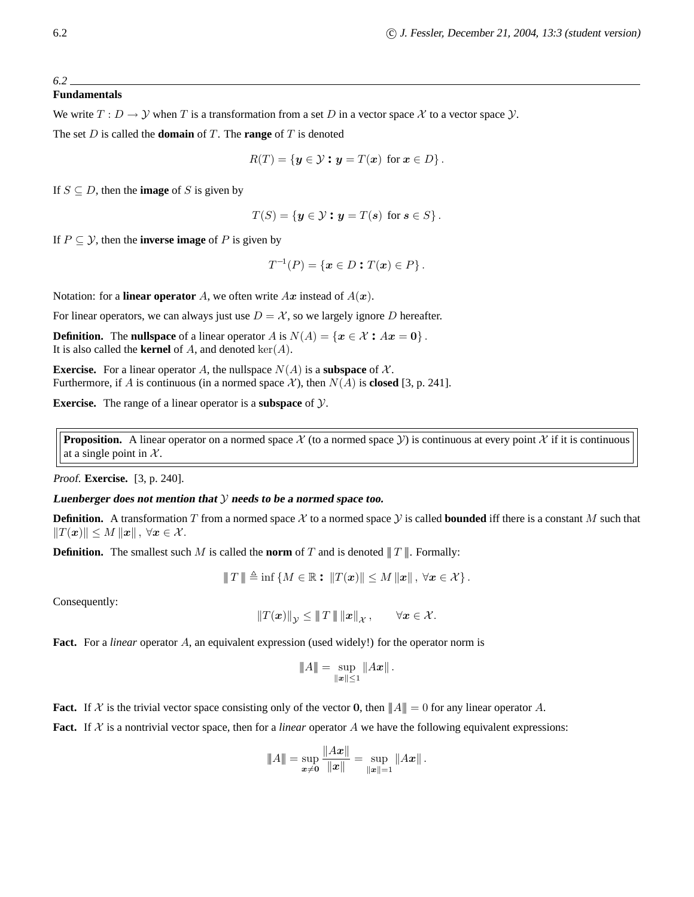#### *6.2*

### **Fundamentals**

We write  $T: D \to Y$  when T is a transformation from a set D in a vector space X to a vector space Y.

The set D is called the **domain** of T. The **range** of T is denoted

$$
R(T) = \{ \mathbf{y} \in \mathcal{Y} : \mathbf{y} = T(\mathbf{x}) \text{ for } \mathbf{x} \in D \}.
$$

If  $S \subseteq D$ , then the **image** of S is given by

$$
T(S) = \{ \mathbf{y} \in \mathcal{Y} : \mathbf{y} = T(\mathbf{s}) \text{ for } \mathbf{s} \in S \}.
$$

If  $P \subseteq \mathcal{Y}$ , then the **inverse image** of P is given by

$$
T^{-1}(P) = \{ \mathbf{x} \in D : T(\mathbf{x}) \in P \}.
$$

Notation: for a **linear operator** A, we often write  $Ax$  instead of  $A(x)$ .

For linear operators, we can always just use  $D = \mathcal{X}$ , so we largely ignore D hereafter.

**Definition.** The **nullspace** of a linear operator A is  $N(A) = \{x \in \mathcal{X} : Ax = 0\}$ . It is also called the **kernel** of  $A$ , and denoted  $\text{ker}(A)$ .

**Exercise.** For a linear operator A, the nullspace  $N(A)$  is a **subspace** of X. Furthermore, if A is continuous (in a normed space X), then  $N(A)$  is **closed** [3, p. 241].

**Exercise.** The range of a linear operator is a **subspace** of Y.

**Proposition.** A linear operator on a normed space  $X$  (to a normed space  $Y$ ) is continuous at every point  $X$  if it is continuous at a single point in  $X$ .

Proof. **Exercise.** [3, p. 240].

#### **Luenberger does not mention that** Y **needs to be <sup>a</sup> normed space too.**

**Definition.** A transformation T from a normed space X to a normed space Y is called **bounded** iff there is a constant M such that  $||T(\boldsymbol{x})|| \leq M ||\boldsymbol{x}||$ ,  $\forall \boldsymbol{x} \in \mathcal{X}$ .

**Definition.** The smallest such M is called the **norm** of T and is denoted  $||T||$ . Formally:

$$
\Vert T \Vert \triangleq \inf \{ M \in \mathbb{R} : \Vert T(x) \Vert \leq M \Vert x \Vert, \ \forall x \in \mathcal{X} \}.
$$

Consequently:

$$
||T(\boldsymbol{x})||_{\mathcal{Y}} \leq ||T|| ||\boldsymbol{x}||_{\mathcal{X}}, \qquad \forall \boldsymbol{x} \in \mathcal{X}.
$$

**Fact.** For a *linear* operator A, an equivalent expression (used widely!) for the operator norm is

$$
||A|| = \sup_{||x|| \le 1} ||Ax||.
$$

**Fact.** If X is the trivial vector space consisting only of the vector 0, then  $||A|| = 0$  for any linear operator A.

**Fact.** If  $X$  is a nontrivial vector space, then for a *linear* operator  $A$  we have the following equivalent expressions:

$$
||A|| = \sup_{x \neq 0} \frac{||Ax||}{||x||} = \sup_{||x||=1} ||Ax||.
$$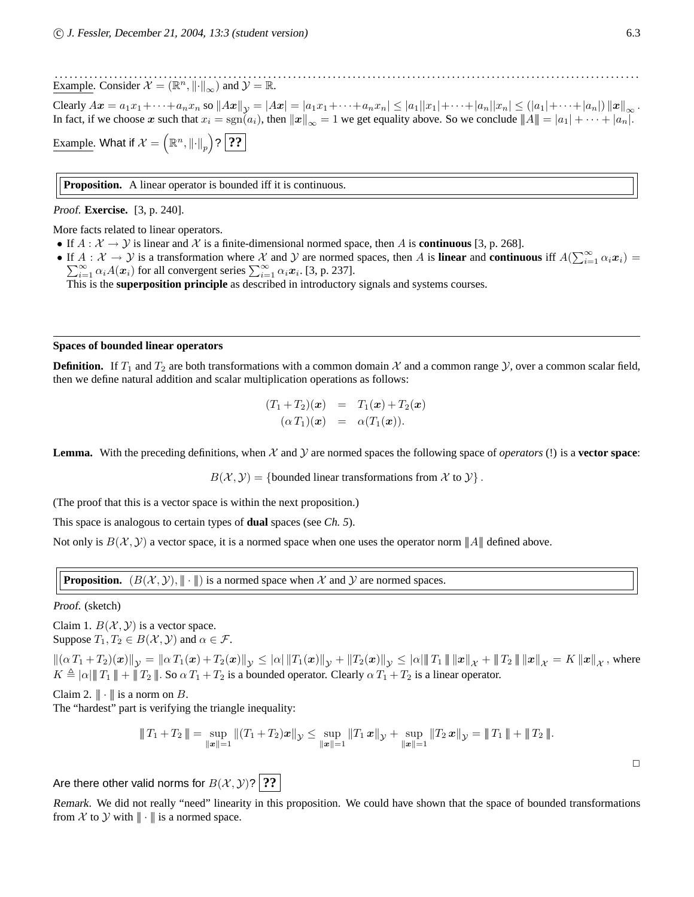$\Box$ 

. . . . . . . . . . . . . . . . . . . . . . . . . . . . . . . . . . . . . . . . . . . . . . . . . . . . . . . . . . . . . . . . . . . . . . . . . . . . . . . . . . . . . . . . . . . . . . . . . . . . . . . . . . . . . . . . . . . . . . Example. Consider  $\mathcal{X} = (\mathbb{R}^n, ||\cdot||_{\infty})$  and  $\mathcal{Y} = \mathbb{R}$ .

Clearly  $Ax = a_1x_1 + \cdots + a_nx_n$  so  $||Ax||_y = |Ax| = |a_1x_1 + \cdots + a_nx_n| \leq |a_1||x_1| + \cdots + |a_n||x_n| \leq (|a_1| + \cdots + |a_n|) ||x||_{\infty}$ . In fact, if we choose x such that  $x_i = \text{sgn}(a_i)$ , then  $||x||_{\infty} = 1$  we get equality above. So we conclude  $||A|| = |a_1| + \cdots + |a_n|$ .

<u>Example</u>. What if  $\mathcal{X} = \left(\mathbb{R}^n, \left\|\cdot\right\|_p\right)$ ?  $\boxed{? ?}$ 

**Proposition.** A linear operator is bounded iff it is continuous.

Proof. **Exercise.** [3, p. 240].

More facts related to linear operators.

- If  $A : \mathcal{X} \to \mathcal{Y}$  is linear and  $\mathcal{X}$  is a finite-dimensional normed space, then A is **continuous** [3, p. 268].
- If  $A: \mathcal{X} \to \mathcal{Y}$  is a transformation where  $\mathcal{X}$  and  $\mathcal{Y}$  are normed spaces, then A is **linear** and **continuous** iff  $A(\sum_{i=1}^{\infty}$ P  $A: \mathcal{X} \to \mathcal{Y}$  is a transformation where  $\mathcal{X}$  and  $\mathcal{Y}$  are normed spaces, then  $A$  is **linear** and **continuous** iff  $A(\sum_{i=1}^{\infty} \alpha_i \mathbf{x}_i) = \sum_{i=1}^{\infty} \alpha_i A(\mathbf{x}_i)$  for all convergent series  $\sum_{i=1}^{\infty} \alpha_i \$

This is the **superposition principle** as described in introductory signals and systems courses.

#### **Spaces of bounded linear operators**

**Definition.** If  $T_1$  and  $T_2$  are both transformations with a common domain  $\mathcal X$  and a common range  $\mathcal Y$ , over a common scalar field, then we define natural addition and scalar multiplication operations as follows:

$$
(T_1+T_2)(\boldsymbol{x}) = T_1(\boldsymbol{x})+T_2(\boldsymbol{x})
$$

$$
(\alpha T_1)(\boldsymbol{x}) = \alpha (T_1(\boldsymbol{x})).
$$

**Lemma.** With the preceding definitions, when X and Y are normed spaces the following space of *operators* (!) is a **vector space**:

 $B(\mathcal{X}, \mathcal{Y}) = \{\text{bounded linear transformations from } \mathcal{X} \text{ to } \mathcal{Y}\}.$ 

(The proof that this is a vector space is within the next proposition.)

This space is analogous to certain types of **dual** spaces (see *Ch. 5*).

Not only is  $B(\mathcal{X}, \mathcal{Y})$  a vector space, it is a normed space when one uses the operator norm  $||A||$  defined above.

**Proposition.**  $(B(\mathcal{X}, \mathcal{Y}), \|\cdot\|)$  is a normed space when X and Y are normed spaces.

Proof. (sketch)

Claim 1.  $B(\mathcal{X}, \mathcal{Y})$  is a vector space. Suppose  $T_1, T_2 \in B(\mathcal{X}, \mathcal{Y})$  and  $\alpha \in \mathcal{F}$ .

 $\|(\alpha T_1 + T_2)(\bm{x})\|_{\mathcal{Y}} = \|\alpha T_1(\bm{x}) + T_2(\bm{x})\|_{\mathcal{Y}} \leq |\alpha| \|T_1(\bm{x})\|_{\mathcal{Y}} + \|T_2(\bm{x})\|_{\mathcal{Y}} \leq |\alpha| \|T_1\| \|x\|_{\mathcal{X}} + \|T_2\| \|x\|_{\mathcal{X}} = K \|x\|_{\mathcal{X}}$ , where  $K \triangleq |\alpha| \| T_1 \| + \| T_2 \|$ . So  $\alpha T_1 + T_2$  is a bounded operator. Clearly  $\alpha T_1 + T_2$  is a linear operator.

Claim 2.  $\|\cdot\|$  is a norm on B.

The "hardest" part is verifying the triangle inequality:

$$
||T_1 + T_2|| = \sup_{||\mathbf{x}||=1} ||(T_1 + T_2)\mathbf{x}||_{\mathcal{Y}} \le \sup_{||\mathbf{x}||=1} ||T_1\mathbf{x}||_{\mathcal{Y}} + \sup_{||\mathbf{x}||=1} ||T_2\mathbf{x}||_{\mathcal{Y}} = ||T_1|| + ||T_2||.
$$

Are there other valid norms for  $B(\mathcal{X}, \mathcal{Y})$ ? ??

Remark. We did not really "need" linearity in this proposition. We could have shown that the space of bounded transformations from X to Y with  $\|\cdot\|$  is a normed space.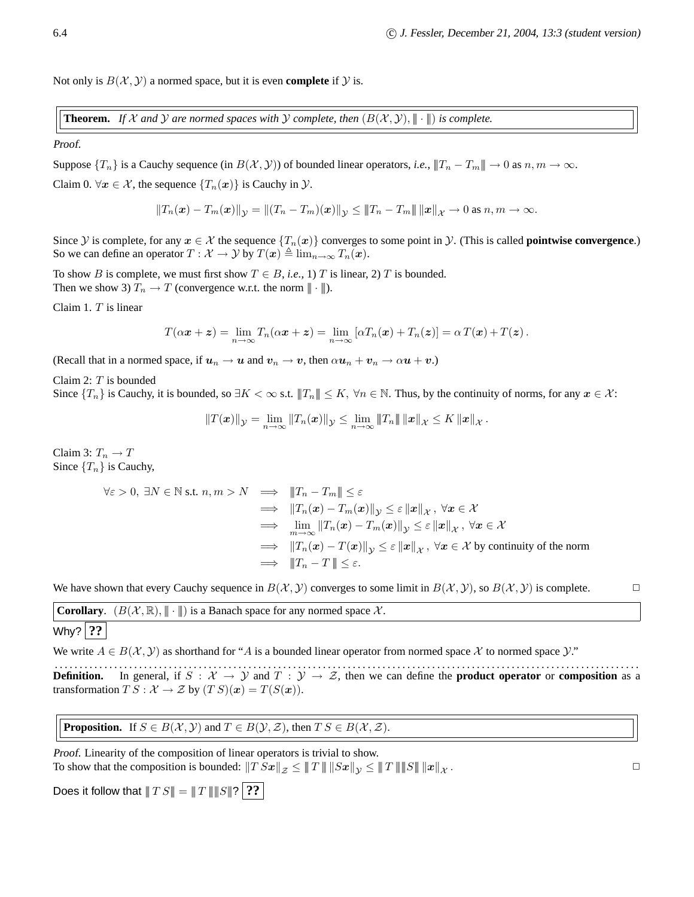Not only is  $B(\mathcal{X}, \mathcal{Y})$  a normed space, but it is even **complete** if  $\mathcal{Y}$  is.

**Theorem.** If X and Y are normed spaces with Y complete, then  $(B(\mathcal{X}, \mathcal{Y}), \|\cdot\|)$  is complete.

Proof.

Suppose  $\{T_n\}$  is a Cauchy sequence (in  $B(\mathcal{X}, \mathcal{Y})$ ) of bounded linear operators, *i.e.*,  $||T_n - T_m|| \to 0$  as  $n, m \to \infty$ .

Claim 0.  $\forall x \in \mathcal{X}$ , the sequence  $\{T_n(x)\}\$ is Cauchy in  $\mathcal{Y}$ .

$$
||T_n(\bm{x}) - T_m(\bm{x})||_{\mathcal{Y}} = ||(T_n - T_m)(\bm{x})||_{\mathcal{Y}} \le ||T_n - T_m|| ||\bm{x}||_{\mathcal{X}} \to 0 \text{ as } n, m \to \infty.
$$

Since  $\mathcal{Y}$  is complete, for any  $x \in \mathcal{X}$  the sequence  $\{T_n(x)\}$  converges to some point in  $\mathcal{Y}$ . (This is called **pointwise convergence**.) So we can define an operator  $T : \mathcal{X} \to \mathcal{Y}$  by  $T(\boldsymbol{x}) \triangleq \lim_{n \to \infty} T_n(\boldsymbol{x})$ .

To show B is complete, we must first show  $T \in B$ , *i.e.*, 1) T is linear, 2) T is bounded. Then we show 3)  $T_n \to T$  (convergence w.r.t. the norm  $\|\cdot\|$ ).

Claim 1.  $T$  is linear

$$
T(\alpha x + z) = \lim_{n \to \infty} T_n(\alpha x + z) = \lim_{n \to \infty} [\alpha T_n(x) + T_n(z)] = \alpha T(x) + T(z).
$$

(Recall that in a normed space, if  $u_n \to u$  and  $v_n \to v$ , then  $\alpha u_n + v_n \to \alpha u + v$ .)

Claim 2: T is bounded

Since  $\{T_n\}$  is Cauchy, it is bounded, so  $\exists K < \infty$  s.t.  $||T_n|| \le K$ ,  $\forall n \in \mathbb{N}$ . Thus, by the continuity of norms, for any  $x \in \mathcal{X}$ :

$$
||T(\boldsymbol{x})||_{\mathcal{Y}} = \lim_{n \to \infty} ||T_n(\boldsymbol{x})||_{\mathcal{Y}} \le \lim_{n \to \infty} ||T_n|| \, ||\boldsymbol{x}||_{\mathcal{X}} \le K \, ||\boldsymbol{x}||_{\mathcal{X}}.
$$

Claim 3:  $T_n \to T$ Since  $\{T_n\}$  is Cauchy,

$$
\forall \varepsilon > 0, \exists N \in \mathbb{N} \text{ s.t. } n, m > N \implies \|T_n - T_m\| \le \varepsilon
$$
  
\n
$$
\implies \|T_n(\mathbf{x}) - T_m(\mathbf{x})\|_{\mathcal{Y}} \le \varepsilon \|\mathbf{x}\|_{\mathcal{X}}, \ \forall \mathbf{x} \in \mathcal{X}
$$
  
\n
$$
\implies \lim_{m \to \infty} \|T_n(\mathbf{x}) - T_m(\mathbf{x})\|_{\mathcal{Y}} \le \varepsilon \|\mathbf{x}\|_{\mathcal{X}}, \ \forall \mathbf{x} \in \mathcal{X}
$$
  
\n
$$
\implies \|T_n(\mathbf{x}) - T(\mathbf{x})\|_{\mathcal{Y}} \le \varepsilon \|\mathbf{x}\|_{\mathcal{X}}, \ \forall \mathbf{x} \in \mathcal{X} \text{ by continuity of the norm}
$$
  
\n
$$
\implies \|T_n - T\| \le \varepsilon.
$$

We have shown that every Cauchy sequence in  $B(\mathcal{X}, \mathcal{Y})$  converges to some limit in  $B(\mathcal{X}, \mathcal{Y})$ , so  $B(\mathcal{X}, \mathcal{Y})$  is complete.

**Corollary.**  $(B(\mathcal{X}, \mathbb{R}), \| \cdot \|)$  is a Banach space for any normed space X.

```
Why? ??
```
We write  $A \in B(\mathcal{X}, \mathcal{Y})$  as shorthand for "A is a bounded linear operator from normed space X to normed space  $\mathcal{Y}$ ."

. . . . . . . . . . . . . . . . . . . . . . . . . . . . . . . . . . . . . . . . . . . . . . . . . . . . . . . . . . . . . . . . . . . . . . . . . . . . . . . . . . . . . . . . . . . . . . . . . . . . . . . . . . . . . . . . . . . . . . **Definition.** In general, if  $S : \mathcal{X} \to \mathcal{Y}$  and  $T : \mathcal{Y} \to \mathcal{Z}$ , then we can define the **product operator** or **composition** as a transformation  $TS : \mathcal{X} \to \mathcal{Z}$  by  $(T S)(x) = T(S(x)).$ 

**Proposition.** If  $S \in B(\mathcal{X}, \mathcal{Y})$  and  $T \in B(\mathcal{Y}, \mathcal{Z})$ , then  $T S \in B(\mathcal{X}, \mathcal{Z})$ .

Proof. Linearity of the composition of linear operators is trivial to show. To show that the composition is bounded:  $||T Sx||_{\mathcal{Z}} \le ||T|| \, ||Sx||_{\mathcal{Y}} \le ||T|| \, ||S|| \, ||x||_{\mathcal{X}}$ .

Does it follow that  $|||TS|| = |||T|| ||||S||$ ?

.  $\Box$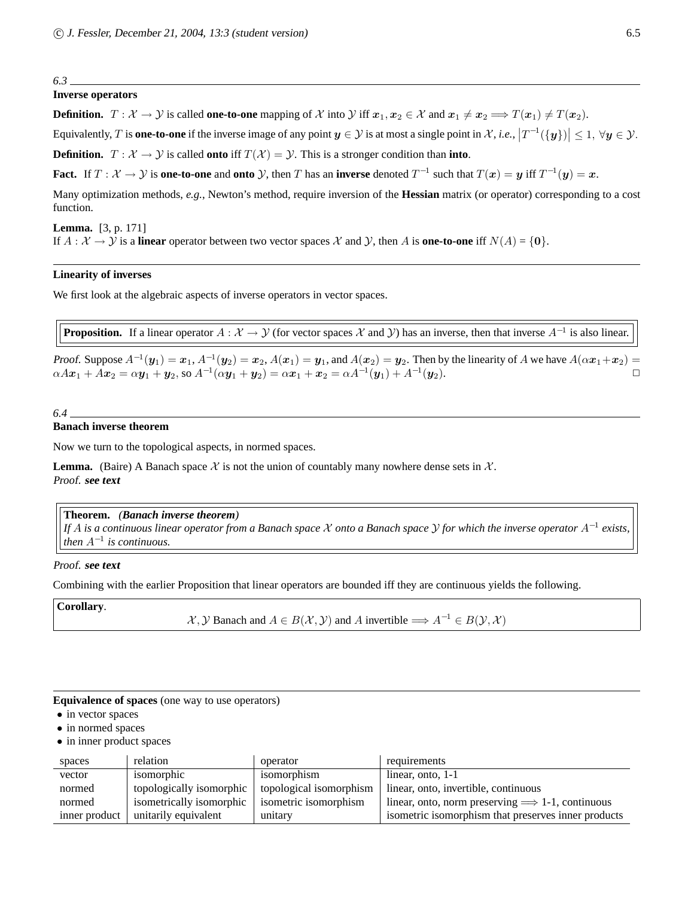#### *6.3*

### **Inverse operators**

**Definition.**  $T : \mathcal{X} \to \mathcal{Y}$  is called **one-to-one** mapping of X into  $\mathcal{Y}$  iff  $x_1, x_2 \in \mathcal{X}$  and  $x_1 \neq x_2 \Longrightarrow T(x_1) \neq T(x_2)$ .

Equivalently, T is **one-to-one** if the inverse image of any point  $y \in \mathcal{Y}$  is at most a single point in  $\mathcal{X}$ , *i.e.*,  $\left|T^{-1}(\{y\})\right| \leq 1$ ,  $\forall y \in \mathcal{Y}$ .

**Definition.**  $T : \mathcal{X} \to \mathcal{Y}$  is called **onto** iff  $T(\mathcal{X}) = \mathcal{Y}$ . This is a stronger condition than **into**.

**Fact.** If  $T: \mathcal{X} \to \mathcal{Y}$  is **one-to-one** and **onto**  $\mathcal{Y}$ , then  $T$  has an **inverse** denoted  $T^{-1}$  such that  $T(\mathbf{x}) = \mathbf{y}$  iff  $T^{-1}(\mathbf{y}) = \mathbf{x}$ .

Many optimization methods, *e.g.*, Newton's method, require inversion of the **Hessian** matrix (or operator) corresponding to a cost function.

**Lemma.** [3, p. 171] If  $A : \mathcal{X} \to \mathcal{Y}$  is a **linear** operator between two vector spaces  $\mathcal{X}$  and  $\mathcal{Y}$ , then A is **one-to-one** iff  $N(A) = \{0\}$ .

#### **Linearity of inverses**

We first look at the algebraic aspects of inverse operators in vector spaces.

**Proposition.** If a linear operator  $A: X \to Y$  (for vector spaces X and Y) has an inverse, then that inverse  $A^{-1}$  is also linear.

Proof. Suppose  $A^{-1}(y_1) = x_1$ ,  $A^{-1}(y_2) = x_2$ ,  $A(x_1) = y_1$ , and  $A(x_2) = y_2$ . Then by the linearity of A we have  $A(\alpha x_1 + x_2) =$  $\alpha Ax_1 + Ax_2 = \alpha y_1 + y_2, \text{ so } A^{-1}(\alpha y_1 + y_2) = \alpha x_1 + x_2 = \alpha A^{-1}(y_1) + A^{-1}(y_2).$ 

*6.4*

#### **Banach inverse theorem**

Now we turn to the topological aspects, in normed spaces.

**Lemma.** (Baire) A Banach space  $\mathcal X$  is not the union of countably many nowhere dense sets in  $\mathcal X$ . Proof. **see text**

#### **Theorem.** *(Banach inverse theorem)*

*If* <sup>A</sup> *is a continuous linear operator from a Banach space* <sup>X</sup> *onto a Banach space* <sup>Y</sup> *for which the inverse operator* <sup>A</sup>−<sup>1</sup> *exists, then* A−<sup>1</sup> *is continuous.*

#### Proof. **see text**

Combining with the earlier Proposition that linear operators are bounded iff they are continuous yields the following.

**Corollary**.

 $\mathcal{X}, \mathcal{Y}$  Banach and  $A \in B(\mathcal{X}, \mathcal{Y})$  and A invertible  $\Longrightarrow A^{-1} \in B(\mathcal{Y}, \mathcal{X})$ 

**Equivalence of spaces** (one way to use operators)

- in vector spaces
- in normed spaces
- in inner product spaces

| spaces        | relation                 | operator                | requirements                                             |
|---------------|--------------------------|-------------------------|----------------------------------------------------------|
| vector        | isomorphic               | isomorphism             | linear, onto, 1-1                                        |
| normed        | topologically isomorphic | topological isomorphism | linear, onto, invertible, continuous                     |
| normed        | isometrically isomorphic | isometric isomorphism   | linear, onto, norm preserving $\implies$ 1-1, continuous |
| inner product | unitarily equivalent     | unitary                 | isometric isomorphism that preserves inner products      |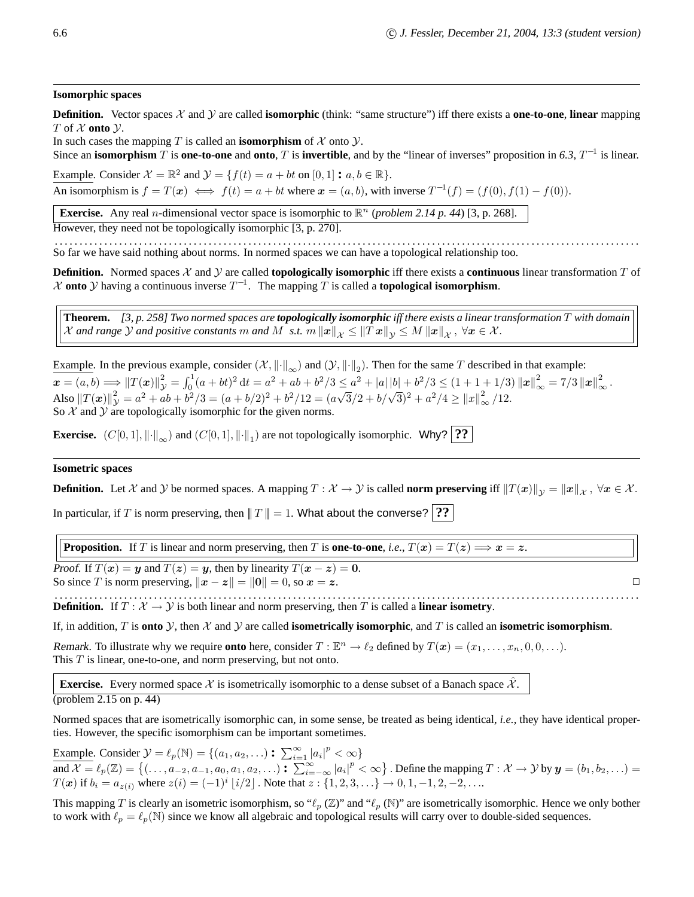#### **Isomorphic spaces**

**Definition.** Vector spaces  $X$  and  $Y$  are called **isomorphic** (think: "same structure") iff there exists a **one-to-one**, **linear** mapping T of  $X$  onto  $Y$ .

In such cases the mapping  $T$  is called an **isomorphism** of  $\mathcal{X}$  onto  $\mathcal{Y}$ .

Since an **isomorphism** T is **one-to-one** and **onto**, T is **invertible**, and by the "linear of inverses" proposition in 6.3,  $T^{-1}$  is linear.

Example. Consider  $\mathcal{X} = \mathbb{R}^2$  and  $\mathcal{Y} = \{f(t) = a + bt \text{ on } [0, 1] : a, b \in \mathbb{R}\}.$ An isomorphism is  $f = T(x) \iff f(t) = a + bt$  where  $x = (a, b)$ , with inverse  $T^{-1}(f) = (f(0), f(1) - f(0))$ .

**Exercise.** Any real *n*-dimensional vector space is isomorphic to  $\mathbb{R}^n$  (*problem 2.14 p. 44*) [3, p. 268].

However, they need not be topologically isomorphic [3, p. 270].

. . . . . . . . . . . . . . . . . . . . . . . . . . . . . . . . . . . . . . . . . . . . . . . . . . . . . . . . . . . . . . . . . . . . . . . . . . . . . . . . . . . . . . . . . . . . . . . . . . . . . . . . . . . . . . . . . . . . . . So far we have said nothing about norms. In normed spaces we can have a topological relationship too.

**Definition.** Normed spaces  $X$  and  $Y$  are called **topologically isomorphic** iff there exists a **continuous** linear transformation  $T$  of  $\mathcal X$  **onto**  $\mathcal Y$  having a continuous inverse  $T^{-1}$ . The mapping  $T$  is called a **topological isomorphism**.

**Theorem.** *[3, p. 258] Two normed spaces are topologically isomorphic iff there exists a linear transformation* T *with domain X* and range *Y* and positive constants m and M s.t.  $m ||x||_{\mathcal{X}} \le ||Tx||_{\mathcal{Y}} \le M ||x||_{\mathcal{X}}$ ,  $\forall x \in \mathcal{X}$ .

Example. In the previous example, consider  $(\mathcal{X}, \|\cdot\|_{\infty})$  and  $(\mathcal{Y}, \|\cdot\|_2)$ . Then for the same T described in that example:  $\boldsymbol{x} = (a, b) \Longrightarrow \|T(\boldsymbol{x})\|_{\mathcal{Y}}^2 = \int_0^1 (a+bt)^2 dt = a^2 + ab + b^2/3 \le a^2 + |a||b| + b^2/3 \le (1+1+1/3) \|x\|_{\infty}^2 = 7/3 \|x\|_{\infty}^2$ . Also  $||T(x)||_{\mathcal{Y}}^2 = a^2 + ab + b^2/3 = (a+b/2)^2 + b^2/12 = (a\sqrt{3}/2 + b/\sqrt{3})^2 + a^2/4 \ge ||x||_{\infty}^2/12$ . So  $X$  and  $Y$  are topologically isomorphic for the given norms.

**Exercise.**  $(C[0,1], \|\cdot\|_{\infty})$  and  $(C[0,1], \|\cdot\|_{1})$  are not topologically isomorphic. Why? **??** 

#### **Isometric spaces**

**Definition.** Let X and Y be normed spaces. A mapping  $T : X \to Y$  is called **norm preserving** iff  $||T(x)||_y = ||x||_X$ ,  $\forall x \in X$ .

In particular, if T is norm preserving, then  $|| ||T|| = 1$ . What about the converse? **??** 

**Proposition.** If T is linear and norm preserving, then T is **one-to-one**, *i.e.*,  $T(x) = T(z) \implies x = z$ .

Proof. If  $T(x) = y$  and  $T(z) = y$ , then by linearity  $T(x - z) = 0$ . So since T is norm preserving,  $||x - z|| = ||0|| = 0$ , so  $x = z$ .

. . . . . . . . . . . . . . . . . . . . . . . . . . . . . . . . . . . . . . . . . . . . . . . . . . . . . . . . . . . . . . . . . . . . . . . . . . . . . . . . . . . . . . . . . . . . . . . . . . . . . . . . . . . . . . . . . . . . . . **Definition.** If  $T : \mathcal{X} \to \mathcal{Y}$  is both linear and norm preserving, then T is called a **linear isometry**.

If, in addition, T is **onto**  $\mathcal{Y}$ , then  $\mathcal{X}$  and  $\mathcal{Y}$  are called **isometrically isomorphic**, and T is called an **isometric isomorphism**.

Remark. To illustrate why we require **onto** here, consider  $T : \mathbb{E}^n \to \ell_2$  defined by  $T(\mathbf{x}) = (x_1, \ldots, x_n, 0, 0, \ldots)$ . This  $T$  is linear, one-to-one, and norm preserving, but not onto.

**Exercise.** Every normed space  $\chi$  is isometrically isomorphic to a dense subset of a Banach space  $\chi$ .

(problem 2.15 on p. 44)

Normed spaces that are isometrically isomorphic can, in some sense, be treated as being identical, *i.e.*, they have identical properties. However, the specific isomorphism can be important sometimes.

Example. Consider  $\mathcal{Y} = \ell_p(\mathbb{N}) = \{(a_1, a_2, \ldots) : \sum_{i=1}^{\infty} |a_i|^p < \infty\}$ and  $\mathcal{X} = \ell_p(\mathbb{Z}) = \{(\ldots, a_{-2}, a_{-1}, a_0, a_1, a_2, \ldots) : \sum_{i=-\infty}^{\infty} |a_i|^p < \infty\}$ . Define the mapping  $T : \mathcal{X} \to \mathcal{Y}$  by  $\mathbf{y} = (b_1, b_2, \ldots) =$  $T(x)$  if  $b_i = a_{z(i)}$  where  $z(i) = (-1)^i \lfloor i/2 \rfloor$  . Note that  $z : \{1, 2, 3, \ldots\} \to 0, 1, -1, 2, -2, \ldots$ 

This mapping T is clearly an isometric isomorphism, so " $\ell_p(\mathbb{Z})$ " and " $\ell_p(\mathbb{N})$ " are isometrically isomorphic. Hence we only bother to work with  $\ell_p = \ell_p(N)$  since we know all algebraic and topological results will carry over to double-sided sequences.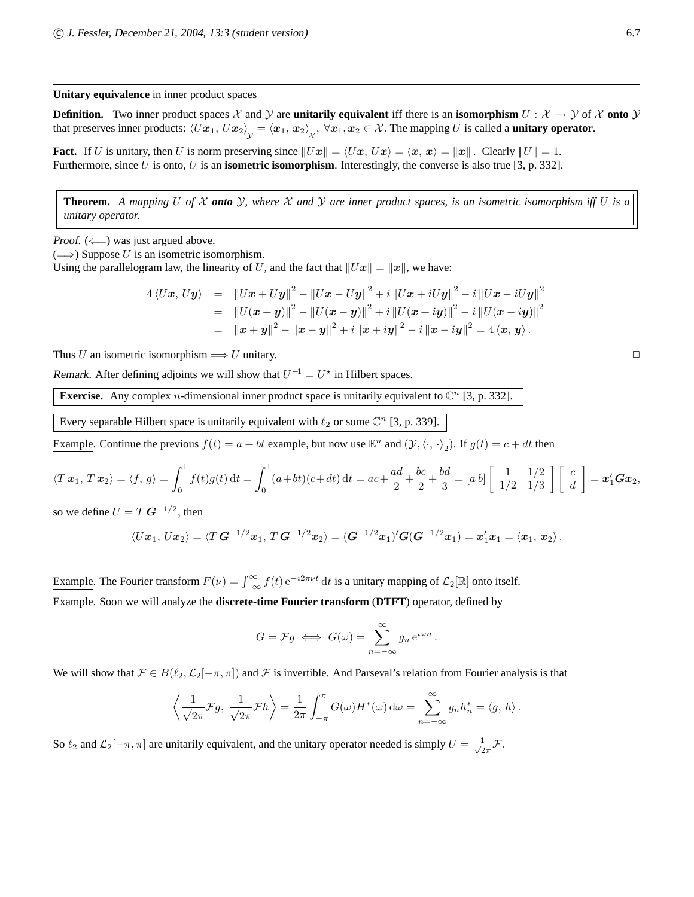**Unitary equivalence** in inner product spaces

**Definition.** Two inner product spaces X and Y are **unitarily equivalent** iff there is an **isomorphism**  $U : X \to Y$  of X **onto** Y that preserves inner products:  $\langle Ux_1, Ux_2 \rangle_y = \langle x_1, x_2 \rangle_x$ ,  $\forall x_1, x_2 \in \mathcal{X}$ . The mapping U is called a **unitary operator**.

**Fact.** If U is unitary, then U is norm preserving since  $||Ux|| = \langle Ux, Ux \rangle = \langle x, x \rangle = ||x||$ . Clearly  $||U|| = 1$ . Furthermore, since U is onto, U is an **isometric isomorphism**. Interestingly, the converse is also true [3, p. 332].

**Theorem.** *A mapping* U *of* X *onto* Y*, where* X *and* Y *are inner product spaces, is an isometric isomorphism iff* U *is a unitary operator.*

Proof.  $(\Leftarrow)$  was just argued above.

 $(\Longrightarrow)$  Suppose U is an isometric isomorphism.

Using the parallelogram law, the linearity of U, and the fact that  $||Ux|| = ||x||$ , we have:

$$
4 \langle Ux, Uy \rangle = \|Ux + Uy\|^2 - \|Ux - Uy\|^2 + i \|Ux + iUy\|^2 - i \|Ux - iUy\|^2
$$
  
= 
$$
\|U(x + y)\|^2 - \|U(x - y)\|^2 + i \|U(x + iy)\|^2 - i \|U(x - iy)\|^2
$$
  
= 
$$
\|x + y\|^2 - \|x - y\|^2 + i \|x + iy\|^2 - i \|x - iy\|^2 = 4 \langle x, y \rangle.
$$

Thus U an isometric isomorphism  $\Longrightarrow U$  unitary.

Remark. After defining adjoints we will show that  $U^{-1} = U^*$  in Hilbert spaces.

**Exercise.** Any complex *n*-dimensional inner product space is unitarily equivalent to  $\mathbb{C}^n$  [3, p. 332].

Every separable Hilbert space is unitarily equivalent with  $\ell_2$  or some  $\mathbb{C}^n$  [3, p. 339].

Example. Continue the previous  $f(t) = a + bt$  example, but now use  $\mathbb{E}^n$  and  $(\mathcal{Y}, \langle \cdot, \cdot \rangle_2)$ . If  $g(t) = c + dt$  then

$$
\langle T\,x_1,\,T\,x_2\rangle = \langle f,\,g\rangle = \int_0^1 f(t)g(t)\,\mathrm{d}t = \int_0^1 (a+bt)(c+dt)\,\mathrm{d}t = ac + \frac{ad}{2} + \frac{bc}{2} + \frac{bd}{3} = [a\,b]\left[\begin{array}{cc}1 & 1/2\\1/2 & 1/3\end{array}\right]\left[\begin{array}{c}c\\d\end{array}\right] = x_1'\mathbf{G}x_2,
$$

so we define  $U = T G^{-1/2}$ , then

$$
\langle Ux_1, Ux_2\rangle = \langle T G^{-1/2} x_1, T G^{-1/2} x_2\rangle = (G^{-1/2} x_1)' G(G^{-1/2} x_1) = x_1' x_1 = \langle x_1, x_2\rangle.
$$

Example. The Fourier transform  $F(\nu) = \int_{-\infty}^{\infty} f(t) e^{-i2\pi \nu t} dt$  is a unitary mapping of  $\mathcal{L}_2[\mathbb{R}]$  onto itself. Example. Soon we will analyze the **discrete-time Fourier transform** (**DTFT**) operator, defined by

$$
G = \mathcal{F}g \iff G(\omega) = \sum_{n=-\infty}^{\infty} g_n e^{i\omega n}.
$$

We will show that  $\mathcal{F} \in B(\ell_2,\mathcal{L}_2[-\pi,\pi])$  and  $\mathcal F$  is invertible. And Parseval's relation from Fourier analysis is that

$$
\left\langle \frac{1}{\sqrt{2\pi}} \mathcal{F} g, \frac{1}{\sqrt{2\pi}} \mathcal{F} h \right\rangle = \frac{1}{2\pi} \int_{-\pi}^{\pi} G(\omega) H^*(\omega) d\omega = \sum_{n=-\infty}^{\infty} g_n h_n^* = \langle g, h \rangle.
$$

So  $\ell_2$  and  $\mathcal{L}_2[-\pi, \pi]$  are unitarily equivalent, and the unitary operator needed is simply  $U = \frac{1}{\sqrt{2}}$  $rac{1}{2\pi}\mathcal{F}.$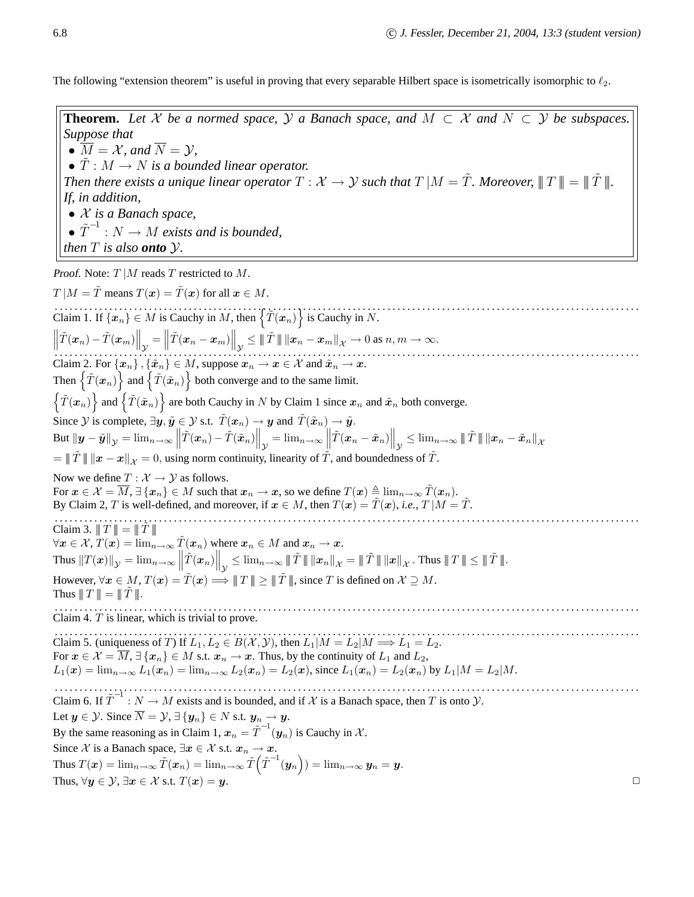The following "extension theorem" is useful in proving that every separable Hilbert space is isometrically isomorphic to  $\ell_2$ .

**Theorem.** Let X be a normed space, Y a Banach space, and  $M \subset X$  and  $N \subset Y$  be subspaces. *Suppose that* •  $\overline{M} = \mathcal{X}$ *, and*  $\overline{N} = \mathcal{Y}$ *,* •  $\hat{T}: M \to N$  *is a bounded linear operator. Then there exists a unique linear operator*  $T : \mathcal{X} \to \mathcal{Y}$  such that  $T |M = \tilde{T}$ *. Moreover,*  $||T|| = ||\tilde{T}||$ . *If, in addition,* • X *is a Banach space,*  $\bullet$   $\tilde{T}^{-1}: N \rightarrow M$  exists and is bounded, *then*  $T$  *is also onto*  $Y$ *.* Proof. Note:  $T | M$  reads  $T$  restricted to  $M$ .  $T | M = \tilde{T}$  means  $T(\boldsymbol{x}) = \tilde{T}(\boldsymbol{x})$  for all  $\boldsymbol{x} \in M$ . Claim 1. If  $\{x_n\} \in M$  is Cauchy in M, then  $\{T(x_n)\}$  is Cauchy in N.  $\left\| \tilde{T}(\boldsymbol{x}_n) - \tilde{T}(\boldsymbol{x}_m) \right\|_\mathcal{Y}$  $\left\|\tilde{T}(\boldsymbol{x}_n)-\tilde{T}(\boldsymbol{x}_m)\right\|_{\mathcal{Y}}=\left\|\tilde{T}(\boldsymbol{x}_n-\boldsymbol{x}_m)\right\|_{\mathcal{Y}}\leq\|\tilde{T}\|\left\|\boldsymbol{x}_n-\boldsymbol{x}_m\right\|_{\mathcal{X}}\to 0 \text{ as } n,m\to\infty.$ Claim 2. For  $\{x_n\}$ ,  $\{\tilde{x}_n\} \in M$ , suppose  $x_n \to x \in \mathcal{X}$  and  $\tilde{x}_n \to x$ . Then  $\{ \tilde{T}(\bm{x}_n) \}$  and  $\{ \tilde{T}(\tilde{\bm{x}}_n) \}$  both converge and to the same limit.  $\{ \tilde{T}(\bm{x}_n) \}$  and  $\{ \tilde{T}(\tilde{\bm{x}}_n) \}$  are both Cauchy in N by Claim 1 since  $\bm{x}_n$  and  $\tilde{\bm{x}}_n$  both converge. Since  $\mathcal Y$  is complete,  $\exists y, \tilde{y} \in \mathcal Y$  s.t.  $\tilde{T}(x_n) \to y$  and  $\tilde{T}(\tilde{x}_n) \to \tilde{y}$ .  $\text{But } \|\boldsymbol{y}-\tilde{\boldsymbol{y}}\|_{\mathcal{Y}} = \lim_{n\to\infty} \left\|\tilde{T}(\boldsymbol{x}_n)-\tilde{T}(\tilde{\boldsymbol{x}}_n)\right\|_{\mathcal{Y}} = \lim_{n\to\infty} \left\|\tilde{T}(\boldsymbol{x}_n-\tilde{\boldsymbol{x}}_n)\right\|_{\mathcal{Y}} \leq \lim_{n\to\infty} \left\|\tilde{T}\right\|\|\boldsymbol{x}_n-\tilde{\boldsymbol{x}}_n\|_{\mathcal{X}}$  $=\|T\| \|x-x\|_{\mathcal{X}} = 0$ , using norm continuity, linearity of T, and boundedness of T. Now we define  $T : \mathcal{X} \to \mathcal{Y}$  as follows. For  $x \in \mathcal{X} = \overline{M}$ ,  $\exists \{x_n\} \in M$  such that  $x_n \to x$ , so we define  $T(x) \triangleq \lim_{n \to \infty} \tilde{T}(x_n)$ . By Claim 2, T is well-defined, and moreover, if  $x \in M$ , then  $T(x) = T(x)$ , *i.e.*,  $T \mid M = T$ . . . . . . . . . . . . . . . . . . . . . . . . . . . . . . . . . . . . . . . . . . . . . . . . . . . . . . . . . . . . . . . . . . . . . . . . . . . . . . . . . . . . . . . . . . . . . . . . . . . . . . . . . . . . . . . . . . . . . . . Claim 3.  $||T|| = ||\tilde{T}||$  $\forall x \in \mathcal{X}, T(x) = \lim_{n \to \infty} \tilde{T}(x_n)$  where  $x_n \in M$  and  $x_n \to x$ . Thus  $||T(\boldsymbol{x})||_{\mathcal{Y}} = \lim_{n \to \infty} \left\| \tilde{T}(\boldsymbol{x}_n) \right\|_{\mathcal{Y}} \leq \lim_{n \to \infty} \|\tilde{T}\| \left\| \boldsymbol{x}_n \right\|_{\mathcal{X}} = \|\tilde{T}\| \left\| \boldsymbol{x} \right\|_{\mathcal{X}}.$  Thus  $\|\hspace{1pt}T\| \leq \|\tilde{T}\|$ . However,  $\forall x \in M$ ,  $T(x) = \tilde{T}(x) \Longrightarrow \|T\| \geq \|\tilde{T}\|$ , since T is defined on  $\mathcal{X} \supseteq M$ . Thus  $||T|| = ||\tilde{T}||$ . . . . . . . . . . . . . . . . . . . . . . . . . . . . . . . . . . . . . . . . . . . . . . . . . . . . . . . . . . . . . . . . . . . . . . . . . . . . . . . . . . . . . . . . . . . . . . . . . . . . . . . . . . . . . . . . . . . . . . . Claim 4. T is linear, which is trivial to prove. . . . . . . . . . . . . . . . . . . . . . . . . . . . . . . . . . . . . . . . . . . . . . . . . . . . . . . . . . . . . . . . . . . . . . . . . . . . . . . . . . . . . . . . . . . . . . . . . . . . . . . . . . . . . . . . . . . . . . . Claim 5. (uniqueness of T) If  $L_1, L_2 \in B(\mathcal{X}, \mathcal{Y})$ , then  $L_1|M = L_2|M \Longrightarrow L_1 = L_2$ . For  $x \in \mathcal{X} = \overline{M}$ ,  $\exists \{x_n\} \in M$  s.t.  $x_n \to x$ . Thus, by the continuity of  $L_1$  and  $L_2$ ,  $L_1(x) = \lim_{n \to \infty} L_1(x_n) = \lim_{n \to \infty} L_2(x_n) = L_2(x)$ , since  $L_1(x_n) = L_2(x_n)$  by  $L_1|M = L_2|M$ . . . . . . . . . . . . . . . . . . . . . . . . . . . . . . . . . . . . . . . . . . . . . . . . . . . . . . . . . . . . . . . . . . . . . . . . . . . . . . . . . . . . . . . . . . . . . . . . . . . . . . . . . . . . . . . . . . . . . . . Claim 6. If  $\tilde{T}^{-1}$ :  $N \to M$  exists and is bounded, and if  $\mathcal X$  is a Banach space, then T is onto  $\mathcal Y$ . Let  $y \in \mathcal{Y}$ . Since  $\overline{N} = \mathcal{Y}, \exists \{y_n\} \in N$  s.t.  $y_n \to y$ . By the same reasoning as in Claim 1,  $x_n = \tilde{T}^{-1}(y_n)$  is Cauchy in  $\mathcal{X}$ . Since X is a Banach space,  $\exists x \in \mathcal{X}$  s.t.  $x_n \to x$ .  $\text{Thus } T(\boldsymbol{x}) = \lim_{n \to \infty} \tilde{T}(\boldsymbol{x}_n) = \lim_{n \to \infty} \tilde{T}\Big(\tilde{T}^{-1}(\boldsymbol{y}_n\Big)) = \lim_{n \to \infty} \boldsymbol{y}_n = \boldsymbol{y}.$ Thus,  $\forall y \in \mathcal{Y}, \exists x \in \mathcal{X}$  s.t.  $T(x) = y$ .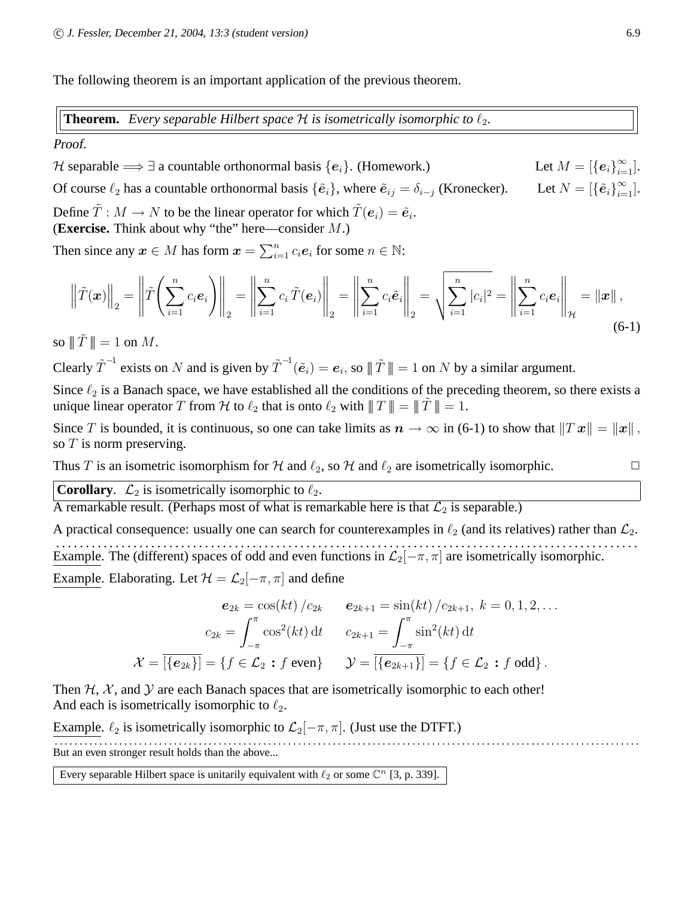The following theorem is an important application of the previous theorem.

**Theorem.** Every separable Hilbert space  $H$  is isometrically isomorphic to  $\ell_2$ .

## Proof.

H separable  $\Longrightarrow \exists$  a countable orthonormal basis  $\{e_i\}$ . (Homework.)  $\infty$ <sub>*i*=1</sub>].

Of course  $\ell_2$  has a countable orthonormal basis  $\{\tilde{\mathbf{e}}_i\}$ , where  $\tilde{\mathbf{e}}_{ij} = \delta_{i-j}$  (Kronecker).

Define  $\tilde{T}: M \to N$  to be the linear operator for which  $\tilde{T}(e_i) = \tilde{e}_i$ . (**Exercise.** Think about why "the" here—consider M.)

Then since any  $x \in M$  has form  $x = \sum_{i=1}^{n} c_i e_i$  for some  $n \in \mathbb{N}$ :

$$
\left\| \tilde{T}(\boldsymbol{x}) \right\|_2 = \left\| \tilde{T} \left( \sum_{i=1}^n c_i \boldsymbol{e}_i \right) \right\|_2 = \left\| \sum_{i=1}^n c_i \tilde{T}(\boldsymbol{e}_i) \right\|_2 = \left\| \sum_{i=1}^n c_i \tilde{\boldsymbol{e}}_i \right\|_2 = \sqrt{\sum_{i=1}^n |c_i|^2} = \left\| \sum_{i=1}^n c_i \boldsymbol{e}_i \right\|_2 = \|\boldsymbol{x}\|,
$$
\n(6-1)

so  $||T|| = 1$  on M.

Clearly  $\tilde{T}^{-1}$  exists on N and is given by  $\tilde{T}^{-1}(\tilde{e}_i) = e_i$ , so  $\|\tilde{T}\| = 1$  on N by a similar argument.

Since  $\ell_2$  is a Banach space, we have established all the conditions of the preceding theorem, so there exists a unique linear operator T from H to  $\ell_2$  that is onto  $\ell_2$  with  $|| ||T|| = ||T|| = 1$ .

Since T is bounded, it is continuous, so one can take limits as  $n \to \infty$  in (6-1) to show that  $||Tx|| = ||x||$ , so  $T$  is norm preserving.

Thus T is an isometric isomorphism for H and  $\ell_2$ , so H and  $\ell_2$  are isometrically isomorphic.  $\Box$ 

**Corollary.**  $\mathcal{L}_2$  is isometrically isomorphic to  $\ell_2$ .

A remarkable result. (Perhaps most of what is remarkable here is that  $\mathcal{L}_2$  is separable.)

A practical consequence: usually one can search for counterexamples in  $\ell_2$  (and its relatives) rather than  $\mathcal{L}_2$ . . . . . . . . . . . . . . . . . . . . . . . . . . . . . . . . . . . . . . . . . . . . . . . . . . . . . . . . . . . . . . . . . . . . . . . . . . . . . . . . . . . . . . . . . . . . . . . . . . . Example. The (different) spaces of odd and even functions in  $\mathcal{L}_2[-\pi, \pi]$  are isometrically isomorphic.

Example. Elaborating. Let  $\mathcal{H} = \mathcal{L}_2[-\pi, \pi]$  and define

$$
e_{2k} = \cos(kt) / c_{2k} \qquad e_{2k+1} = \sin(kt) / c_{2k+1}, \ k = 0, 1, 2, \dots
$$

$$
c_{2k} = \int_{-\pi}^{\pi} \cos^2(kt) dt \qquad c_{2k+1} = \int_{-\pi}^{\pi} \sin^2(kt) dt
$$

$$
\mathcal{X} = \overline{[\{e_{2k}\}]} = \{f \in \mathcal{L}_2 : f \text{ even}\} \qquad \mathcal{Y} = \overline{[\{e_{2k+1}\}]} = \{f \in \mathcal{L}_2 : f \text{ odd}\}.
$$

Then  $H$ ,  $X$ , and  $Y$  are each Banach spaces that are isometrically isomorphic to each other! And each is isometrically isomorphic to  $\ell_2$ .

Example.  $\ell_2$  is isometrically isomorphic to  $\mathcal{L}_2[-\pi, \pi]$ . (Just use the DTFT.) . . . . . . . . . . . . . . . . . . . . . . . . . . . . . . . . . . . . . . . . . . . . . . . . . . . . . . . . . . . . . . . . . . . . . . . . . . . . . . . . . . . . . . . . . . . . . . . . . . . . . . . . . . . . . . . . . . . . . . But an even stronger result holds than the above...

Every separable Hilbert space is unitarily equivalent with  $\ell_2$  or some  $\mathbb{C}^n$  [3, p. 339].

 $\infty$ <sub>*i*=1</sub>].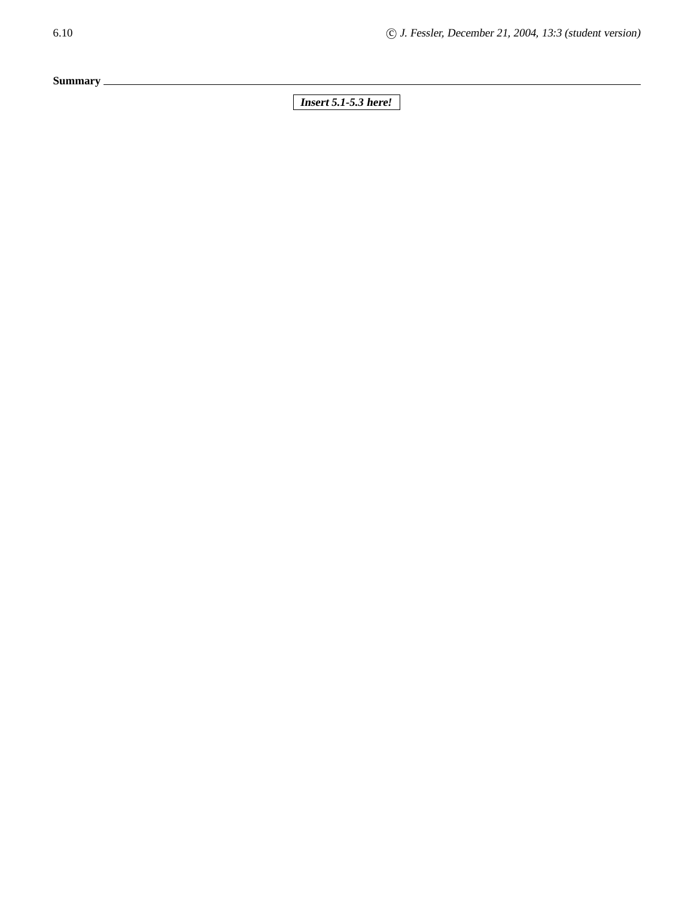**Summary**

6.10 **c** J. Fessler, December 21, 2004, 13:3 (student version)

**Insert** *5.1-5.3* **here!**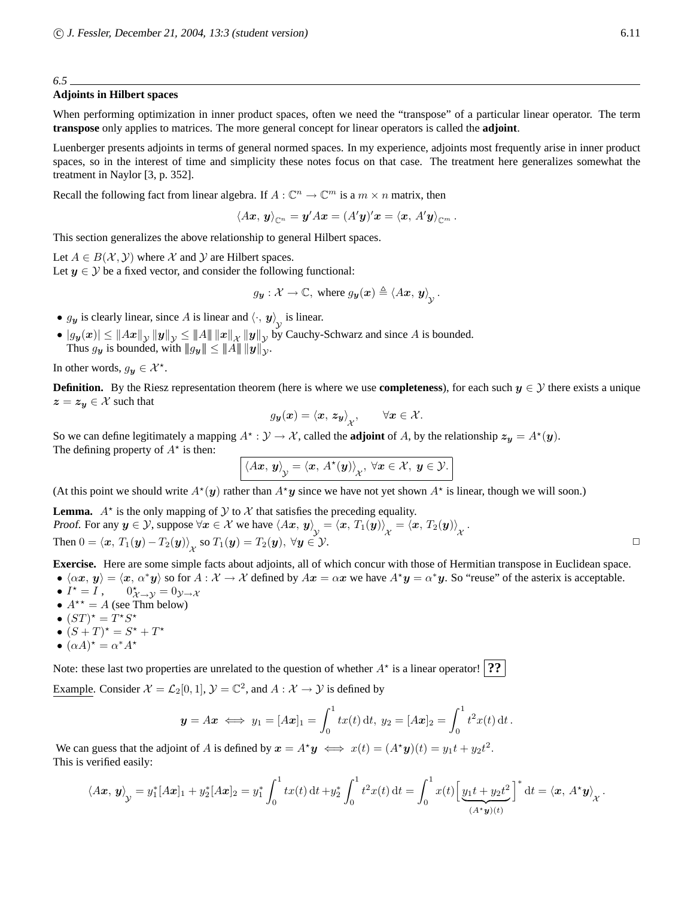*6.5*

#### **Adjoints in Hilbert spaces**

When performing optimization in inner product spaces, often we need the "transpose" of a particular linear operator. The term **transpose** only applies to matrices. The more general concept for linear operators is called the **adjoint**.

Luenberger presents adjoints in terms of general normed spaces. In my experience, adjoints most frequently arise in inner product spaces, so in the interest of time and simplicity these notes focus on that case. The treatment here generalizes somewhat the treatment in Naylor [3, p. 352].

Recall the following fact from linear algebra. If  $A: \mathbb{C}^n \to \mathbb{C}^m$  is a  $m \times n$  matrix, then

$$
\langle Ax, y\rangle_{\mathbb{C}^n} = y'Ax = (A'y)'x = \langle x, A'y\rangle_{\mathbb{C}^m}.
$$

This section generalizes the above relationship to general Hilbert spaces.

Let  $A \in B(\mathcal{X}, \mathcal{Y})$  where X and Y are Hilbert spaces. Let  $y \in \mathcal{Y}$  be a fixed vector, and consider the following functional:

> $g_{\boldsymbol{y}}:\mathcal{X}\rightarrow\mathbb{C},\text{ where }g_{\boldsymbol{y}}(\boldsymbol{x})\triangleq\left\langle A\boldsymbol{x},\,\boldsymbol{y}\right\rangle_{\mathcal{V}}.$ Y

- $g_y$  is clearly linear, since A is linear and  $\langle \cdot, y \rangle$  is linear.
- $\mathbf{y} \in [g_{\mathbf{y}}(x)] \leq \|Ax\|_{\mathcal{Y}} \|y\|_{\mathcal{Y}} \leq \|A\| \|x\|_{\mathcal{X}} \|y\|_{\mathcal{Y}}$  by Cauchy-Schwarz and since A is bounded. Thus  $g_{\mathbf{y}}$  is bounded, with  $||g_{\mathbf{y}}|| \leq ||A|| \, ||\mathbf{y}||_{\mathcal{Y}}$ .

In other words,  $g_{\mathbf{y}} \in \mathcal{X}^*$ .

**Definition.** By the Riesz representation theorem (here is where we use **completeness**), for each such  $y \in \mathcal{Y}$  there exists a unique  $z = z_y \in \mathcal{X}$  such that

$$
g_{\mathbf{y}}(\mathbf{x}) = \langle \mathbf{x}, \, \mathbf{z}_{\mathbf{y}} \rangle_{\mathcal{X}}, \qquad \forall \mathbf{x} \in \mathcal{X}.
$$

So we can define legitimately a mapping  $A^* : \mathcal{Y} \to \mathcal{X}$ , called the **adjoint** of A, by the relationship  $z_y = A^*(y)$ . The defining property of  $A^*$  is then:

$$
\langle Ax, y \rangle_{\mathcal{Y}} = \langle x, A^*(y) \rangle_{\mathcal{X}}, \ \forall x \in \mathcal{X}, \ y \in \mathcal{Y}.
$$

(At this point we should write  $A^*(y)$  rather than  $A^*y$  since we have not yet shown  $A^*$  is linear, though we will soon.)

**Lemma.**  $A^*$  is the only mapping of  $Y$  to  $X$  that satisfies the preceding equality. Proof. For any  $y \in Y$ , suppose  $\forall x \in X$  we have  $\langle Ax, y \rangle_y = \langle x, T_1(y) \rangle_x = \langle x, T_2(y) \rangle_x$ . Then  $0 = \langle x, T_1(y) - T_2(y) \rangle_{\mathcal{X}}$  so  $T_1(y) = T_2(y), \forall y \in \mathcal{Y}$ .

**Exercise.** Here are some simple facts about adjoints, all of which concur with those of Hermitian transpose in Euclidean space.

•  $\langle \alpha x, y \rangle = \langle x, \alpha^* y \rangle$  so for  $A : \mathcal{X} \to \mathcal{X}$  defined by  $A x = \alpha x$  we have  $A^* y = \alpha^* y$ . So "reuse" of the asterix is acceptable.

- $I^* = I$ , 0  $\chi^*_{\lambda \to \mathcal{Y}} = 0_{\mathcal{Y} \to \lambda}$
- $A^{\star\star} = A$  (see Thm below)
- $(ST)^* = T^*S^*$
- $(S+T)^* = S^* + T^*$
- $(\alpha A)^* = \alpha^* A^*$

Note: these last two properties are unrelated to the question of whether  $A^*$  is a linear operator! **??** 

Example. Consider  $\mathcal{X} = \mathcal{L}_2[0, 1], \mathcal{Y} = \mathbb{C}^2$ , and  $A : \mathcal{X} \to \mathcal{Y}$  is defined by

$$
y = Ax \iff y_1 = [Ax]_1 = \int_0^1 tx(t) dt, y_2 = [Ax]_2 = \int_0^1 t^2x(t) dt.
$$

We can guess that the adjoint of A is defined by  $x = A^*y \iff x(t) = (A^*y)(t) = y_1t + y_2t^2$ . This is verified easily:

$$
\langle A\bm{x},\bm{y}\rangle_{\mathcal{Y}} = y_1^*[A\bm{x}]_1 + y_2^*[A\bm{x}]_2 = y_1^* \int_0^1 tx(t) \, \mathrm{d}t + y_2^* \int_0^1 t^2 x(t) \, \mathrm{d}t = \int_0^1 x(t) \Big[ \underbrace{y_1 t + y_2 t^2}_{(A^* \bm{y})(t)} \Big]^* \, \mathrm{d}t = \langle \bm{x}, A^* \bm{y} \rangle_{\mathcal{X}}.
$$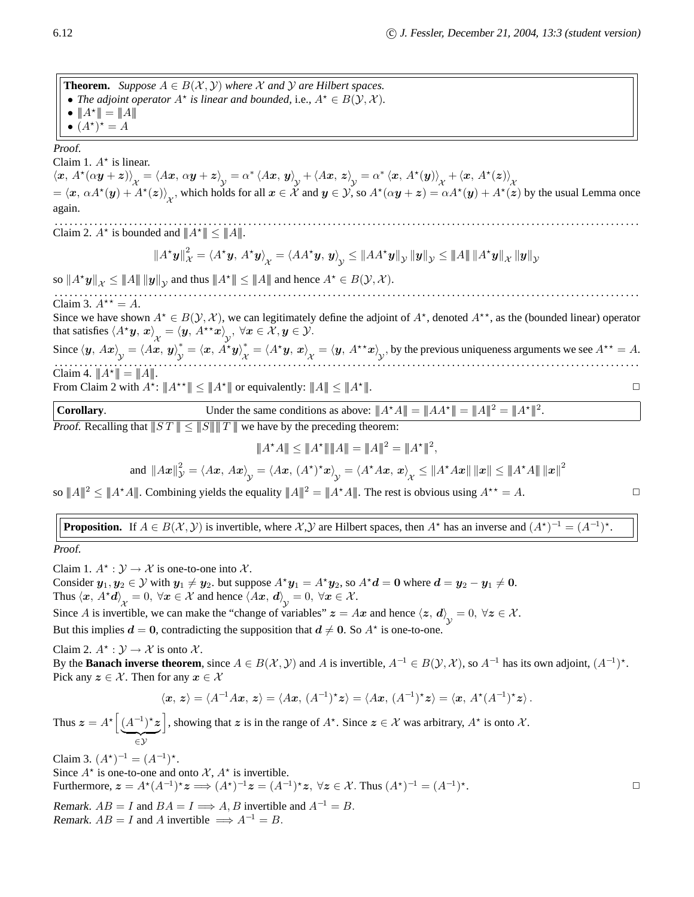**Theorem.** *Suppose*  $A \in B(X, Y)$  *where* X *and* Y *are Hilbert spaces.* • *The adjoint operator*  $A^*$  *is linear and bounded, i.e.,*  $A^* \in B(\mathcal{Y}, \mathcal{X})$ *.* •  $||A^*|| = ||A||$ •  $(A^{\star})^{\star} = A$ 

Proof.

Claim 1.  $A^*$  is linear.

 $\langle x, A^*(\alpha y + z) \rangle_{\mathcal{X}} = \langle Ax, \alpha y + z \rangle_{\mathcal{Y}} = \alpha^* \langle Ax, y \rangle_{\mathcal{Y}} + \langle Ax, z \rangle_{\mathcal{Y}} = \alpha^* \langle x, A^*(y) \rangle_{\mathcal{X}} + \langle x, A^*(z) \rangle_{\mathcal{X}}$ <br>=  $\langle x, \alpha A^*(y) + A^*(z) \rangle_{\mathcal{X}}$ , which holds for all  $x \in \mathcal{X}$  and  $y \in \mathcal{Y}$ , so  $A^*(\alpha y + z) = \alpha A^*(y$ again.

. . . . . . . . . . . . . . . . . . . . . . . . . . . . . . . . . . . . . . . . . . . . . . . . . . . . . . . . . . . . . . . . . . . . . . . . . . . . . . . . . . . . . . . . . . . . . . . . . . . . . . . . . . . . . . . . . . . . . . Claim 2.  $A^*$  is bounded and  $||A^*|| \leq ||A||$ .

$$
\left\|A^{\star} \mathbf{y}\right\|_{\mathcal{X}}^{2}=\left\langle A^{\star} \mathbf{y},\, A^{\star} \mathbf{y}\right\rangle_{\mathcal{X}}=\left\langle AA^{\star} \mathbf{y},\, \mathbf{y}\right\rangle_{\mathcal{Y}}\leq\left\|AA^{\star} \mathbf{y}\right\|_{\mathcal{Y}}\left\| \mathbf{y}\right\|_{\mathcal{Y}}\leq\left\|A\right\|\left\|A^{\star} \mathbf{y}\right\|_{\mathcal{X}}\left\| \mathbf{y}\right\|_{\mathcal{Y}}
$$

so  $||A^*y||_{\mathcal{X}} \leq ||A|| \, ||y||_{\mathcal{Y}}$  and thus  $||A^*|| \leq ||A||$  and hence  $A^* \in B(\mathcal{Y}, \mathcal{X})$ .

. . . . . . . . . . . . . . . . . . . . . . . . . . . . . . . . . . . . . . . . . . . . . . . . . . . . . . . . . . . . . . . . . . . . . . . . . . . . . . . . . . . . . . . . . . . . . . . . . . . . . . . . . . . . . . . . . . . . . . Claim 3.  $A^{\star\star} = A$ . Since we have shown  $A^* \in B(\mathcal{Y}, \mathcal{X})$ , we can legitimately define the adjoint of  $A^*$ , denoted  $A^{**}$ , as the (bounded linear) operator

that satisfies  $\left\langle A^{\star}\bm{y},\, \bm{x}\right\rangle_{\mathcal{X}}=\left\langle \bm{y},\, A^{\star\star}\bm{x}\right\rangle_{\mathcal{V}},\ \forall \bm{x}\in\mathcal{X},\bm{y}\in\mathcal{Y}.$ 

Since  $\langle y, Ax \rangle_y = \langle Ax, y \rangle_y^* = \langle x, A^* \rangle_y^*$  $\int_{\mathcal{Y}}^* = \langle x, A^*y \rangle_{\mathcal{X}}^*$  $\chi^*_{\mathcal{X}} = \langle A^{\star} \boldsymbol{y}, \boldsymbol{x} \rangle_{\mathcal{X}} = \langle \boldsymbol{y}, A^{\star \star} \boldsymbol{x} \rangle_{\mathcal{Y}},$  by the previous uniqueness arguments we see  $A^{\star \star} = A$ . . . . . . . . . . . . . . . . . . . . . . . . . . . . . . . . . . . . . . . . . . . . . . . . . . . . . . . . . . . . . . . . . . . . . . . . . . . . . . . . . . . . . . . . . . . . . . . . . . . . . . . . . . . . . . . . . . . . . . . Claim 4.  $||A^*|| = ||A||$ .  $\|.\|$ 

From Claim 2 with  $A^{\star}$ :  $||A^{\star\star}|| \leq ||A^{\star}||$  or equivalently:  $||A|| \leq ||A^{\star}$ 

**Corollary.** Under the same conditions as above:  $||A^*A|| = ||AA^*|| = ||A||^2 = ||A^*||^2$ . **Proof.** Recalling that  $||S T || \le ||S|| || T ||$  we have by the preceding theorem:

$$
||A^{\star}A|| \leq ||A^{\star}|| ||A|| = ||A||^2 = ||A^{\star}||^2,
$$

and 
$$
||Ax||^2_{\mathcal{Y}} = \langle Ax, Ax \rangle_{\mathcal{Y}} = \langle Ax, (A^*)^* x \rangle_{\mathcal{Y}} = \langle A^*Ax, x \rangle_{\mathcal{X}} \le ||A^*Ax|| \, ||x|| \le ||A^*A|| \, ||x||^2
$$

so  $||A||^2 \leq ||A^*A||$ . Combining yields the equality  $||A||^2 = ||A^*A||$ . The rest is obvious using  $A^{**} = A$ .

# **Proposition.** If  $A \in B(\mathcal{X}, \mathcal{Y})$  is invertible, where  $\mathcal{X}, \mathcal{Y}$  are Hilbert spaces, then  $A^*$  has an inverse and  $(A^*)^{-1} = (A^{-1})^*$ .

Proof.

Claim 1.  $A^* : \mathcal{Y} \to \mathcal{X}$  is one-to-one into  $\mathcal{X}$ .

Consider  $y_1, y_2 \in \mathcal{Y}$  with  $y_1 \neq y_2$ . but suppose  $A^*y_1 = A^*y_2$ , so  $A^*d = 0$  where  $d = y_2 - y_1 \neq 0$ . Thus  $\langle x, A^*d \rangle_{\chi} = 0, \ \forall x \in \mathcal{X}$  and hence  $\langle Ax, d \rangle_{\chi} = 0, \ \forall x \in \mathcal{X}$ .

Since A is invertible, we can make the "change of variables"  $z = Ax$  and hence  $\langle z, d \rangle_{\mathcal{Y}} = 0, \forall z \in \mathcal{X}$ .

But this implies  $d = 0$ , contradicting the supposition that  $d \neq 0$ . So  $A^*$  is one-to-one.

Claim 2.  $A^* : \mathcal{Y} \to \mathcal{X}$  is onto  $\mathcal{X}$ .

By the **Banach inverse theorem**, since  $A \in B(\mathcal{X}, \mathcal{Y})$  and A is invertible,  $A^{-1} \in B(\mathcal{Y}, \mathcal{X})$ , so  $A^{-1}$  has its own adjoint,  $(A^{-1})^*$ . Pick any  $z \in \mathcal{X}$ . Then for any  $x \in \mathcal{X}$ 

$$
\langle x, z \rangle = \langle A^{-1}Ax, z \rangle = \langle Ax, (A^{-1})^*z \rangle = \langle Ax, (A^{-1})^*z \rangle = \langle x, A^*(A^{-1})^*z \rangle.
$$

Y

Thus  $\boldsymbol{z} = A^{\star} \left[ (A^{-1})^{\star} \boldsymbol{z} \right]$  $\overline{y}$ ∈Y , showing that z is in the range of  $A^*$ . Since  $z \in \mathcal{X}$  was arbitrary,  $A^*$  is onto  $\mathcal{X}$ .

Claim 3.  $(A^*)^{-1} = (A^{-1})^*$ . Since  $A^*$  is one-to-one and onto  $\mathcal{X}, A^*$  is invertible. Furthermore,  $\boldsymbol{z} = A^*(A^{-1})^* \boldsymbol{z} \Longrightarrow (A^*)^{-1} \boldsymbol{z} = (A^{-1})^* \boldsymbol{z}$ ,  $\forall \boldsymbol{z} \in \mathcal{X}$ . Thus  $(A^*)^{-1} = (A^{-1})^*$ .  $\Box$ Remark.  $AB = I$  and  $BA = I \Longrightarrow A, B$  invertible and  $A^{-1} = B$ . Remark.  $AB = I$  and A invertible  $\implies A^{-1} = B$ .

$$
\Box
$$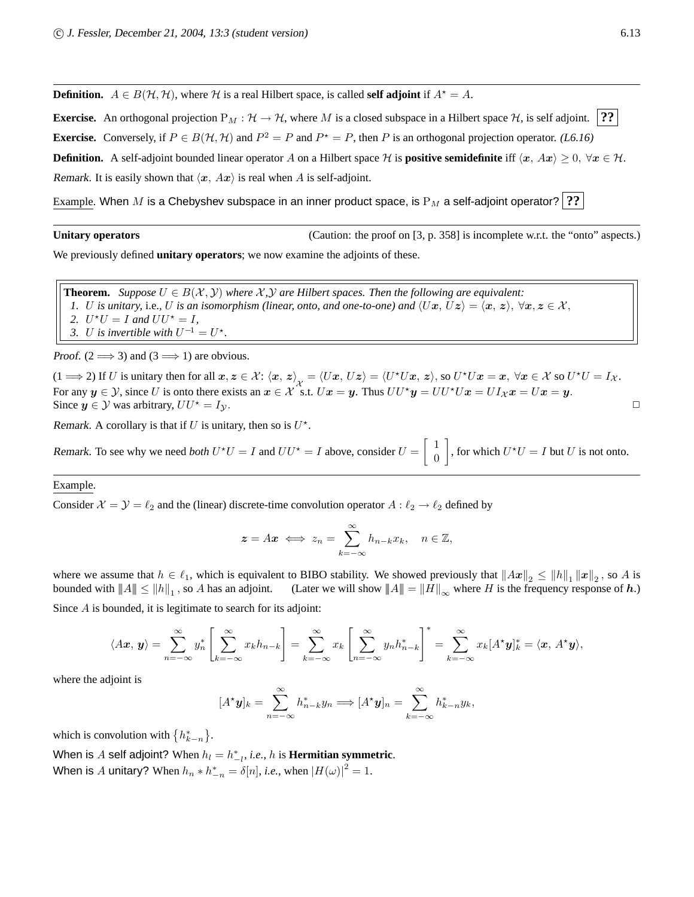**Definition.**  $A \in B(\mathcal{H}, \mathcal{H})$ , where H is a real Hilbert space, is called **self adjoint** if  $A^* = A$ .

**Exercise.** An orthogonal projection  $P_M : \mathcal{H} \to \mathcal{H}$ , where M is a closed subspace in a Hilbert space  $\mathcal{H}$ , is self adjoint. **?? Exercise.** Conversely, if  $P \in B(H, H)$  and  $P^2 = P$  and  $P^* = P$ , then P is an orthogonal projection operator. *(L6.16)* **Definition.** A self-adjoint bounded linear operator A on a Hilbert space H is **positive semidefinite** iff  $\langle x, Ax \rangle > 0$ ,  $\forall x \in H$ . Remark. It is easily shown that  $\langle x, Ax \rangle$  is real when A is self-adjoint.

Example. When M is a Chebyshev subspace in an inner product space, is  $P_M$  a self-adjoint operator? **??** 

Unitary operators **Unitary operators** (Caution: the proof on [3, p. 358] is incomplete w.r.t. the "onto" aspects.)

We previously defined **unitary operators**; we now examine the adjoints of these.

**Theorem.** *Suppose*  $U \in B(\mathcal{X}, \mathcal{Y})$  *where*  $\mathcal{X}, \mathcal{Y}$  *are Hilbert spaces. Then the following are equivalent: 1. U is unitary,* i.e., *U is an isomorphism (linear, onto, and one-to-one) and*  $\langle Ux, Uz \rangle = \langle x, z \rangle$ ,  $\forall x, z \in \mathcal{X}$ , 2.  $U^*U = I$  *and*  $UU^* = I$ *,* 3. U is invertible with  $U^{-1} = U^*$ .

Proof. (2  $\Longrightarrow$  3) and (3  $\Longrightarrow$  1) are obvious.

 $(1 \implies 2)$  If U is unitary then for all  $x, z \in \mathcal{X}$ :  $\langle x, z \rangle_{\mathcal{X}} = \langle Ux, Uz \rangle = \langle U^*Ux, z \rangle$ , so  $U^*Ux = x$ ,  $\forall x \in \mathcal{X}$  so  $U^*U = I_{\mathcal{X}}$ .<br>For any  $U \subseteq \mathcal{Y}$  since II is onto these spite as  $x \in \mathcal{X}$  of II is  $U$ . For any  $y \in Y$ , since U is onto there exists an  $x \in \mathcal{X}$  s.t.  $Ux = y$ . Thus  $UU^*y = UU^*Ux = UI_{\mathcal{X}}x = Ux = y$ . Since  $y \in Y$  was arbitrary,  $UU^* = I_Y$ .

Remark. A corollary is that if U is unitary, then so is  $U^*$ .

Remark. To see why we need *both*  $U^{\star}U = I$  and  $UU^{\star} = I$  above, consider  $U = \begin{bmatrix} 1 & 1 \\ 0 & 1 \end{bmatrix}$ 0 , for which  $U^{\star}U = I$  but U is not onto.

Example.

Consider  $\mathcal{X} = \mathcal{Y} = \ell_2$  and the (linear) discrete-time convolution operator  $A : \ell_2 \to \ell_2$  defined by

$$
z = Ax \iff z_n = \sum_{k=-\infty}^{\infty} h_{n-k}x_k, \quad n \in \mathbb{Z},
$$

where we assume that  $h \in \ell_1$ , which is equivalent to BIBO stability. We showed previously that  $||Ax||_2 \le ||h||_1 ||x||_2$ , so A is bounded with  $||A|| \le ||h||_1$ , so A has an adjoint. (Later we will show  $||A|| = ||H||_{\infty}$  where H is the frequency response of h.)

Since A is bounded, it is legitimate to search for its adjoint:

$$
\langle A\boldsymbol{x},\boldsymbol{y}\rangle=\sum_{n=-\infty}^{\infty}y_n^*\left[\sum_{k=-\infty}^{\infty}x_kh_{n-k}\right]=\sum_{k=-\infty}^{\infty}x_k\left[\sum_{n=-\infty}^{\infty}y_nh_{n-k}^*\right]^*=\sum_{k=-\infty}^{\infty}x_k[A^*\boldsymbol{y}]_k^*=\langle \boldsymbol{x},A^*\boldsymbol{y}\rangle,
$$

where the adjoint is

$$
[A^{\star} \mathbf{y}]_k = \sum_{n=-\infty}^{\infty} h_{n-k}^* y_n \Longrightarrow [A^{\star} \mathbf{y}]_n = \sum_{k=-\infty}^{\infty} h_{k-n}^* y_k,
$$

which is convolution with  $\{h_{k-n}^*\}.$ 

When is A self adjoint? When  $h_l = h_{-l}^*,$  *i.e.*,  $h$  is **Hermitian symmetric**.  $-l$ 

When is A unitary? When  $h_n * h_{-n}^* = \delta[n]$ , *i.e.*, when  $|H(\omega)|^2 = 1$ .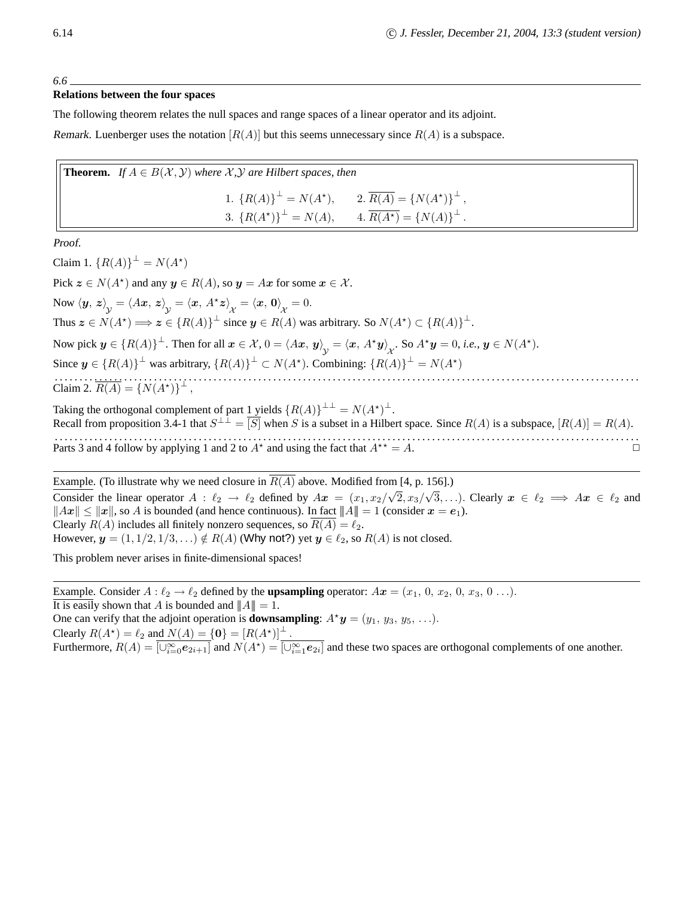*6.6*

#### **Relations between the four spaces**

The following theorem relates the null spaces and range spaces of a linear operator and its adjoint.

Remark. Luenberger uses the notation  $|R(A)|$  but this seems unnecessary since  $R(A)$  is a subspace.

| <b>Theorem.</b> If $A \in B(\mathcal{X}, \mathcal{Y})$ where $\mathcal{X}, \mathcal{Y}$ are Hilbert spaces, then                                  |  |  |  |  |
|---------------------------------------------------------------------------------------------------------------------------------------------------|--|--|--|--|
| 1. ${R(A)}^{\perp} = N(A^*),$ 2. $\overline{R(A)} = {N(A^*)}^{\perp},$<br>3. ${R(A^*)}^{\perp} = N(A),$ 4. $\overline{R(A^*)} = {N(A)}^{\perp}$ . |  |  |  |  |
|                                                                                                                                                   |  |  |  |  |

Proof.

Claim 1.  ${R(A)}^{\perp} = N(A^*)$ Pick  $z \in N(A^*)$  and any  $y \in R(A)$ , so  $y = Ax$  for some  $x \in \mathcal{X}$ . Now  $\langle y, z \rangle_{\mathcal{V}} = \langle Ax, z \rangle_{\mathcal{V}} = \langle x, A^*z \rangle_{\mathcal{X}} = \langle x, \mathbf{0} \rangle_{\mathcal{X}} = 0.$ Thus  $z \in N(A^*) \Longrightarrow z \in \{R(A)\}^{\perp}$  since  $y \in R(A)$  was arbitrary. So  $N(A^*) \subset \{R(A)\}^{\perp}$ . Now pick  $y \in \{R(A)\}^\perp$ . Then for all  $x \in \mathcal{X}$ ,  $0 = \langle Ax, y \rangle_{\mathcal{X}} = \langle x, A^*y \rangle_{\mathcal{X}}$ . So  $A^*y = 0$ , *i.e.*,  $y \in N(A^*)$ . Since  $y \in \{R(A)\}^{\perp}$  was arbitrary,  $\{R(A)\}^{\perp} \subset N(A^*)$ . Combining:  $\{R(A)\}^{\perp} = N(A^*)$ . . . . . . . . . . . . . . . . . . . . . . . . . . . . . . . . . . . . . . . . . . . . . . . . . . . . . . . . . . . . . . . . . . . . . . . . . . . . . . . . . . . . . . . . . . . . . . . . . . . . . . . . . . . . . . . . . . . . . . Claim 2.  $\overline{R(A)} = \{N(A^*)\}^{\perp}$ , Taking the orthogonal complement of part  $1$  yields  ${R(A)}^{\perp \perp} = N(A^*)^{\perp}$ . Recall from proposition 3.4-1 that  $S^{\perp \perp} = [S]$  when S is a subset in a Hilbert space. Since  $R(A)$  is a subspace,  $[R(A)] = R(A)$ .

. . . . . . . . . . . . . . . . . . . . . . . . . . . . . . . . . . . . . . . . . . . . . . . . . . . . . . . . . . . . . . . . . . . . . . . . . . . . . . . . . . . . . . . . . . . . . . . . . . . . . . . . . . . . . . . . . . . . . . Parts 3 and 4 follow by applying 1 and 2 to  $A^*$  and using the fact that  $A^{**} = A$ .

Example. (To illustrate why we need closure in  $\overline{R(A)}$  above. Modified from [4, p. 156].) Consider the linear operator  $A : \ell_2 \to \ell_2$  defined by  $Ax = (x_1, x_2/\sqrt{2}, x_3/\sqrt{3}, \ldots)$ . Clearly  $x \in \ell_2 \implies Ax \in \ell_2$  and  $||Ax|| \le ||x||$ , so A is bounded (and hence continuous). In fact  $||A|| = 1$  (consider  $x = e_1$ ). Clearly  $R(A)$  includes all finitely nonzero sequences, so  $R(A) = \ell_2$ . However,  $y = (1, 1/2, 1/3, ...) \notin R(A)$  (Why not?) yet  $y \in \ell_2$ , so  $R(A)$  is not closed.

This problem never arises in finite-dimensional spaces!

Example. Consider  $A : \ell_2 \to \ell_2$  defined by the **upsampling** operator:  $Ax = (x_1, 0, x_2, 0, x_3, 0 \ldots)$ . It is easily shown that A is bounded and  $||A|| = 1$ . One can verify that the adjoint operation is **downsampling**:  $A^*y = (y_1, y_3, y_5, \ldots)$ . Clearly  $R(A^*) = \ell_2$  and  $N(A) = \{0\} = [R(A^*)]^{\perp}$ . Furthermore,  $R(A) = \overline{[\cup_{i=0}^{\infty} e_{2i+1}]}$  and  $N(A^*) = \overline{[\cup_{i=1}^{\infty} e_{2i}]}$  and these two spaces are orthogonal complements of one another.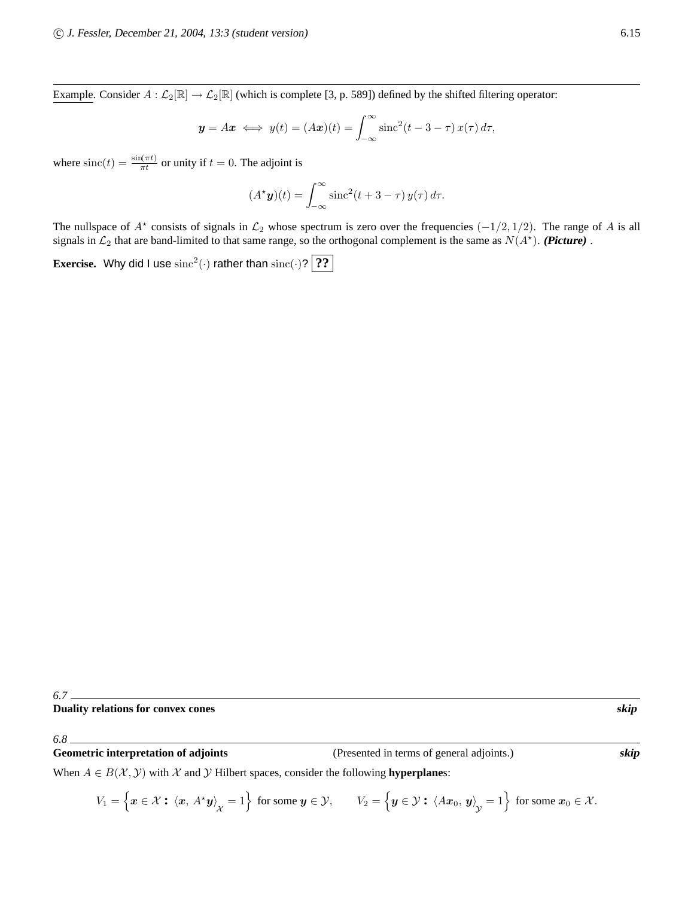Example. Consider  $A: \mathcal{L}_2[\mathbb{R}] \to \mathcal{L}_2[\mathbb{R}]$  (which is complete [3, p. 589]) defined by the shifted filtering operator:

$$
y = Ax \iff y(t) = (Ax)(t) = \int_{-\infty}^{\infty} \operatorname{sinc}^2(t - 3 - \tau) x(\tau) d\tau,
$$

where  $\text{sinc}(t) = \frac{\sin(\pi t)}{\pi t}$  or unity if  $t = 0$ . The adjoint is

$$
(A^* \mathbf{y})(t) = \int_{-\infty}^{\infty} \operatorname{sinc}^2(t + 3 - \tau) y(\tau) d\tau.
$$

The nullspace of  $A^*$  consists of signals in  $\mathcal{L}_2$  whose spectrum is zero over the frequencies  $(-1/2, 1/2)$ . The range of A is all signals in  $\mathcal{L}_2$  that are band-limited to that same range, so the orthogonal complement is the same as  $N(A^*)$ . (Picture).

**Exercise.** Why did I use  $\text{sinc}^2(\cdot)$  rather than  $\text{sinc}(\cdot)$ ? 2?

## **Duality relations for convex cones skip**

*6.8*

**Geometric interpretation of adjoints** (Presented in terms of general adjoints.) skip

When  $A \in B(\mathcal{X}, \mathcal{Y})$  with  $\mathcal X$  and  $\mathcal Y$  Hilbert spaces, consider the following **hyperplane**s:

 $V_1 = \left\{ \boldsymbol{x} \in \mathcal{X} : \ \left\langle \boldsymbol{x},\, A^\star \boldsymbol{y} \right\rangle_{\mathcal{X}} = 1 \right\} \text{ for some } \boldsymbol{y} \in \mathcal{Y}, \qquad V_2 = \left\{ \boldsymbol{y} \in \mathcal{Y} : \ \left\langle A \boldsymbol{x}_0,\, \boldsymbol{y} \right\rangle_{\mathcal{Y}} = 1 \right\} \text{ for some } \boldsymbol{x}_0 \in \mathcal{X}.$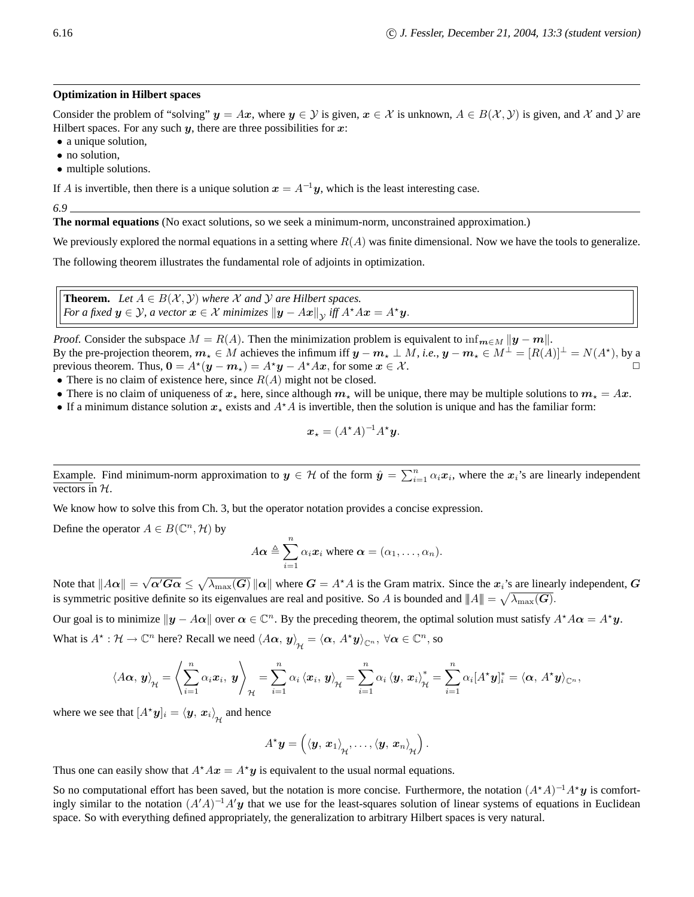#### **Optimization in Hilbert spaces**

Consider the problem of "solving"  $y = Ax$ , where  $y \in Y$  is given,  $x \in X$  is unknown,  $A \in B(X, Y)$  is given, and X and Y are Hilbert spaces. For any such  $y$ , there are three possibilities for  $x$ :

- a unique solution,
- no solution,
- multiple solutions.

If A is invertible, then there is a unique solution  $x = A^{-1}y$ , which is the least interesting case.

*6.9*

**The normal equations** (No exact solutions, so we seek a minimum-norm, unconstrained approximation.)

We previously explored the normal equations in a setting where  $R(A)$  was finite dimensional. Now we have the tools to generalize.

The following theorem illustrates the fundamental role of adjoints in optimization.

**Theorem.** *Let*  $A \in B(\mathcal{X}, \mathcal{Y})$  *where*  $\mathcal X$  *and*  $\mathcal Y$  *are Hilbert spaces. For a fixed*  $y \in Y$ *, a vector*  $x \in X$  *minimizes*  $||y - Ax||_Y$  *iff*  $A^*Ax = A^*y$ *.* 

*Proof.* Consider the subspace  $M = R(A)$ . Then the minimization problem is equivalent to  $\inf_{m \in M} ||y - m||$ . By the pre-projection theorem,  $m_{\star} \in M$  achieves the infimum iff  $y - m_{\star} \perp M$ , *i.e.*,  $y - m_{\star} \in M^{\perp} = [R(A)]^{\perp} = N(A^{\star})$ , by a previous theorem. Thus,  $0 = A^*(y - m_x) = A^*y - A^*Ax$ , for some  $x \in \mathcal{X}$ .

- There is no claim of existence here, since  $R(A)$  might not be closed.
- There is no claim of uniqueness of  $x_*$  here, since although  $m_*$  will be unique, there may be multiple solutions to  $m_* = Ax$ .
- If a minimum distance solution  $x<sub>*</sub>$  exists and  $A<sup>*</sup>A$  is invertible, then the solution is unique and has the familiar form:

$$
\boldsymbol{x}_{\star} = (A^{\star}A)^{-1}A^{\star}\boldsymbol{y}.
$$

Example. Find minimum-norm approximation to  $y \in \mathcal{H}$  of the form  $\hat{y} = \sum_{i=1}^{n} \alpha_i x_i$ , where the  $x_i$ 's are linearly independent vectors in  $H$ .

We know how to solve this from Ch. 3, but the operator notation provides a concise expression.

Define the operator  $A \in B(\mathbb{C}^n, \mathcal{H})$  by

$$
A\alpha \triangleq \sum_{i=1}^{n} \alpha_i x_i
$$
 where  $\alpha = (\alpha_1, \dots, \alpha_n)$ .

Note that  $||A\alpha|| = \sqrt{\alpha' G\alpha} \le \sqrt{\lambda_{\max}(G)} ||\alpha||$  where  $G = A^*A$  is the Gram matrix. Since the  $x_i$ 's are linearly independent,  $G$ is symmetric positive definite so its eigenvalues are real and positive. So A is bounded and  $||A|| = \sqrt{\lambda_{\max}(G)}$ .

Our goal is to minimize  $\|\mathbf{y} - A\alpha\|$  over  $\alpha \in \mathbb{C}^n$ . By the preceding theorem, the optimal solution must satisfy  $A^*A\alpha = A^*\mathbf{y}$ . What is  $A^* : \mathcal{H} \to \mathbb{C}^n$  here? Recall we need  $\langle A\alpha, y \rangle_{\mathcal{H}} = \langle \alpha, A^*y \rangle_{\mathbb{C}^n}, \forall \alpha \in \mathbb{C}^n$ , so

$$
\left\langle A\boldsymbol{\alpha},\boldsymbol{y}\right\rangle_{\mathcal{H}}=\left\langle \sum_{i=1}^{n}\alpha_{i}\boldsymbol{x}_{i},\boldsymbol{y}\right\rangle_{\mathcal{H}}=\sum_{i=1}^{n}\alpha_{i}\left\langle \boldsymbol{x}_{i},\boldsymbol{y}\right\rangle_{\mathcal{H}}=\sum_{i=1}^{n}\alpha_{i}\left\langle \boldsymbol{y},\boldsymbol{x}_{i}\right\rangle_{\mathcal{H}}^{*}=\sum_{i=1}^{n}\alpha_{i}[A^{\star}\boldsymbol{y}]_{i}^{*}=\left\langle \boldsymbol{\alpha},\thinspace A^{\star}\boldsymbol{y}\right\rangle_{\mathbb{C}^{n}},
$$

where we see that  $[A^{\star}\boldsymbol{y}]_i = \langle \boldsymbol{y}, \, \boldsymbol{x}_i \rangle_{\mathcal{H}}$  and hence

$$
A^{\star}\boldsymbol{y}=\left(\left\langle \boldsymbol{y},\,\boldsymbol{x}_1\right\rangle_{\mathcal{H}},\ldots,\left\langle \boldsymbol{y},\,\boldsymbol{x}_n\right\rangle_{\mathcal{H}}\right).
$$

Thus one can easily show that  $A^*Ax = A^*y$  is equivalent to the usual normal equations.

So no computational effort has been saved, but the notation is more concise. Furthermore, the notation  $(A^*A)^{-1}A^*y$  is comfortingly similar to the notation  $(A'A)^{-1}A'y$  that we use for the least-squares solution of linear systems of equations in Euclidean space. So with everything defined appropriately, the generalization to arbitrary Hilbert spaces is very natural.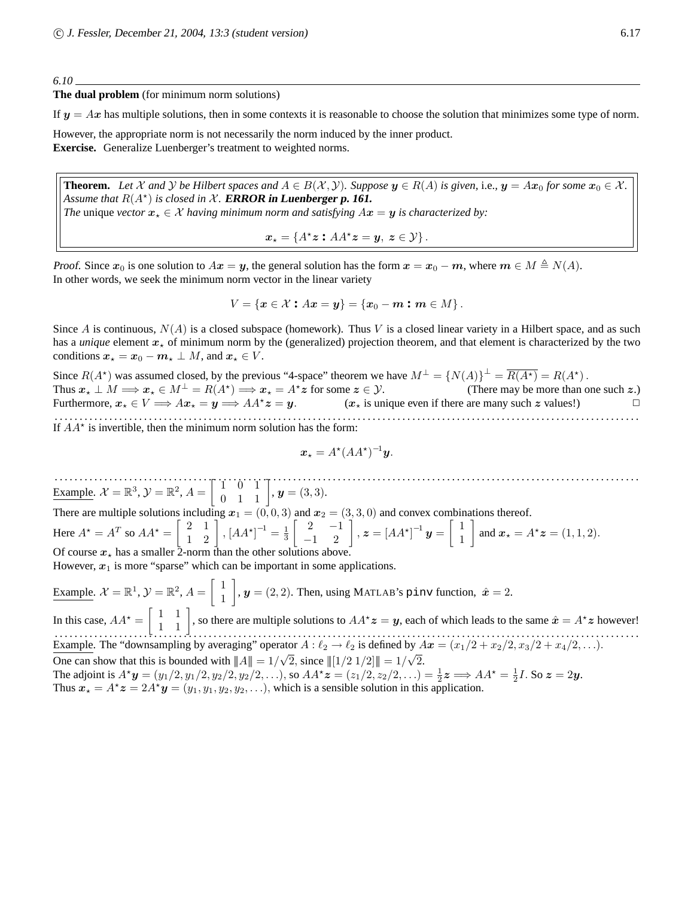#### *6.10*

**The dual problem** (for minimum norm solutions)

If  $y = Ax$  has multiple solutions, then in some contexts it is reasonable to choose the solution that minimizes some type of norm.

However, the appropriate norm is not necessarily the norm induced by the inner product. **Exercise.** Generalize Luenberger's treatment to weighted norms.

**Theorem.** Let  $\mathcal X$  and  $\mathcal Y$  be Hilbert spaces and  $A \in B(\mathcal X, \mathcal Y)$ . Suppose  $y \in R(A)$  is given, i.e.,  $y = Ax_0$  for some  $x_0 \in \mathcal X$ . Assume that  $R(A^*)$  is closed in  $X$ . **ERROR** in **Luenberger p.** 161. *The* unique *vector*  $x_{\star} \in \mathcal{X}$  *having minimum norm and satisfying*  $Ax = y$  *is characterized by:* 

$$
\boldsymbol{x}_{\star} = \{A^{\star}\boldsymbol{z} : AA^{\star}\boldsymbol{z} = \boldsymbol{y}, \ \boldsymbol{z} \in \mathcal{Y}\}.
$$

Proof. Since  $x_0$  is one solution to  $Ax = y$ , the general solution has the form  $x = x_0 - m$ , where  $m \in M \triangleq N(A)$ . In other words, we seek the minimum norm vector in the linear variety

$$
V = \{ \mathbf{x} \in \mathcal{X} : A\mathbf{x} = \mathbf{y} \} = \{ \mathbf{x}_0 - \mathbf{m} : \mathbf{m} \in M \}.
$$

Since A is continuous,  $N(A)$  is a closed subspace (homework). Thus V is a closed linear variety in a Hilbert space, and as such has a *unique* element  $x<sub>*</sub>$  of minimum norm by the (generalized) projection theorem, and that element is characterized by the two conditions  $x_* = x_0 - m_* \perp M$ , and  $x_* \in V$ .

Since  $R(A^*)$  was assumed closed, by the previous "4-space" theorem we have  $M^{\perp} = \{N(A)\}^{\perp} = \overline{R(A^*)} = R(A^*)$ . Thus  $x_* \perp M \Longrightarrow x_* \in M^{\perp} = R(A^*) \Longrightarrow x_* = A^* z$  for some  $z \in \mathcal{Y}$ . (There may be more than one such  $z$ .)<br>are many such  $z$  values!) Furthermore,  $x_* \in V \Longrightarrow Ax_* = y \Longrightarrow AA^*z = y.$  ( $x_*$  is unique even if there are many such z values!) . . . . . . . . . . . . . . . . . . . . . . . . . . . . . . . . . . . . . . . . . . . . . . . . . . . . . . . . . . . . . . . . . . . . . . . . . . . . . . . . . . . . . . . . . . . . . . . . . . . . . . . . . . . . . . . . . . . . . .

If  $AA^*$  is invertible, then the minimum norm solution has the form:

$$
x_{\star} = A^{\star} (AA^{\star})^{-1} y.
$$

. . . . . . . . . . . . . . . . . . . . . . . . . . . . . . . . . . . . . . . . . . . . . . . . . . . . . . . . . . . . . . . . . . . . . . . . . . . . . . . . . . . . . . . . . . . . . . . . . . . . . . . . . . . . . . . . . . . . . . Example.  $\mathcal{X} = \mathbb{R}^3$ ,  $\mathcal{Y} = \mathbb{R}^2$ ,  $A = \begin{bmatrix} 1 & 0 & 1 \\ 0 & 1 & 1 \end{bmatrix}$ ,  $\mathbf{y} = (3, 3)$ . There are multiple solutions including  $x_1 = (0, 0, 3)$  and  $x_2 = (3, 3, 0)$  and convex combinations thereof. Here  $A^* = A^T$  so  $AA^* = \begin{bmatrix} 2 & 1 \\ 1 & 2 \end{bmatrix}$ ,  $[AA^*]^{-1} = \frac{1}{3}$  $\begin{bmatrix} 2 & -1 \\ -1 & 2 \end{bmatrix}$ ,  $\boldsymbol{z} = [A A^{\star}]^{-1} \boldsymbol{y} = \begin{bmatrix} 1 \\ 1 \end{bmatrix}$ 1 and  $x_{\star} = A^{\star} z = (1, 1, 2).$ Of course  $x_{\star}$  has a smaller 2-norm than the other solutions above. However,  $x_1$  is more "sparse" which can be important in some applications. Example.  $\mathcal{X} = \mathbb{R}^1$ ,  $\mathcal{Y} = \mathbb{R}^2$ ,  $A = \begin{bmatrix} 1 \\ 1 \end{bmatrix}$ 1  $\bigg]$ ,  $\boldsymbol{y} = (2, 2)$ . Then, using MATLAB's pinv function,  $\hat{\boldsymbol{x}} = 2$ .

In this case,  $AA^* = \begin{bmatrix} 1 & 1 \\ 1 & 1 \end{bmatrix}$ , so there are multiple solutions to  $AA^*z = y$ , each of which leads to the same  $\hat{x} = A^*z$  however! . . . . . . . . . . . . . . . . . . . . . . . . . . . . . . . . . . . . . . . . . . . . . . . . . . . . . . . . . . . . . . . . . . . . . . . . . . . . . . . . . . . . . . . . . . . . . . . . . . . . . . . . . . . . . . . . . . . . . . Example. The "downsampling by averaging" operator  $A : \ell_2 \to \ell_2$  is defined by  $A\mathbf{x} = (x_1/2 + x_2/2, x_3/2 + x_4/2, \ldots).$ One can show that this is bounded with  $||A|| = 1/\sqrt{2}$ , since  $||[1/2 \ 1/2]|| = 1/\sqrt{2}$ .

The adjoint is  $A^*y = (y_1/2, y_1/2, y_2/2, y_2/2, \ldots)$ , so  $AA^*z = (z_1/2, z_2/2, \ldots) = \frac{1}{2}z \implies AA^* = \frac{1}{2}I$ . So  $z = 2y$ . Thus  $x_{\star} = A^{\star} z = 2A^{\star} y = (y_1, y_1, y_2, y_2, \ldots)$ , which is a sensible solution in this application.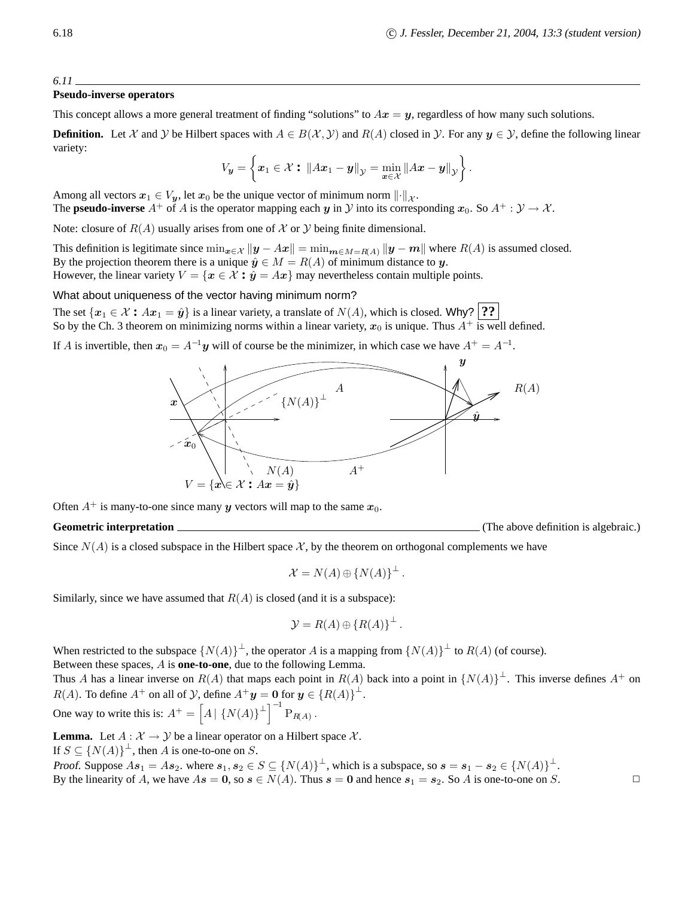#### **Pseudo-inverse operators**

This concept allows a more general treatment of finding "solutions" to  $Ax = y$ , regardless of how many such solutions.

**Definition.** Let X and Y be Hilbert spaces with  $A \in B(\mathcal{X}, \mathcal{Y})$  and  $R(A)$  closed in Y. For any  $y \in \mathcal{Y}$ , define the following linear variety:

$$
V_{\mathbf{y}} = \left\{ \boldsymbol{x}_1 \in \mathcal{X} : \left\| A\boldsymbol{x}_1 - \boldsymbol{y} \right\|_{\mathcal{Y}} = \min_{\boldsymbol{x} \in \mathcal{X}} \left\| A\boldsymbol{x} - \boldsymbol{y} \right\|_{\mathcal{Y}} \right\}.
$$

Among all vectors  $x_1 \in V_y$ , let  $x_0$  be the unique vector of minimum norm  $\|\cdot\|_{\mathcal{X}}$ . The **pseudo-inverse**  $A^+$  of A is the operator mapping each y in Y into its corresponding  $x_0$ . So  $A^+ : Y \to X$ .

Note: closure of  $R(A)$  usually arises from one of X or Y being finite dimensional.

This definition is legitimate since  $\min_{x \in \mathcal{X}} ||y - Ax|| = \min_{m \in M = R(A)} ||y - m||$  where  $R(A)$  is assumed closed. By the projection theorem there is a unique  $\hat{y} \in M = R(A)$  of minimum distance to y. However, the linear variety  $V = \{x \in \mathcal{X} : \hat{y} = Ax\}$  may nevertheless contain multiple points.

What about uniqueness of the vector having minimum norm?

The set  $\{x_1 \in \mathcal{X} : Ax_1 = \hat{y}\}\$ is a linear variety, a translate of  $N(A)$ , which is closed. Why? **??** So by the Ch. 3 theorem on minimizing norms within a linear variety,  $x_0$  is unique. Thus  $A^+$  is well defined.

If A is invertible, then  $x_0 = A^{-1}y$  will of course be the minimizer, in which case we have  $A^+ = A^{-1}$ .



Often  $A^+$  is many-to-one since many y vectors will map to the same  $x_0$ .

**Geometric interpretation** (The above definition is algebraic.)

Since  $N(A)$  is a closed subspace in the Hilbert space X, by the theorem on orthogonal complements we have

$$
\mathcal{X}=N(A)\oplus\left\{N(A)\right\}^{\perp}.
$$

Similarly, since we have assumed that  $R(A)$  is closed (and it is a subspace):

$$
\mathcal{Y}=R(A)\oplus\left\{R(A)\right\}^{\perp}.
$$

When restricted to the subspace  $\{N(A)\}^{\perp}$ , the operator A is a mapping from  $\{N(A)\}^{\perp}$  to  $R(A)$  (of course). Between these spaces, A is **one-to-one**, due to the following Lemma.

Thus A has a linear inverse on  $R(A)$  that maps each point in  $R(A)$  back into a point in  $\{N(A)\}^{\perp}$ . This inverse defines  $A^{+}$  on  $R(A)$ . To define  $A^+$  on all of  $\mathcal Y$ , define  $A^+y = 0$  for  $y \in \{R(A)\}^{\perp}$ .

One way to write this is:  $A^+ = \left[ A \mid \{ N(A) \}^\perp \right]^{-1} P_{R(A)}$ .

**Lemma.** Let  $A : \mathcal{X} \to \mathcal{Y}$  be a linear operator on a Hilbert space  $\mathcal{X}$ .

If  $S \subseteq \{N(A)\}^{\perp}$ , then A is one-to-one on S.

Proof. Suppose  $As_1 = As_2$ . where  $s_1, s_2 \in S \subseteq \{N(A)\}^{\perp}$ , which is a subspace, so  $s = s_1 - s_2 \in \{N(A)\}^{\perp}$ . By the linearity of A, we have  $As = 0$ , so  $s \in N(A)$ . Thus  $s = 0$  and hence  $s_1 = s_2$ . So A is one-to-one on S.

*6.11*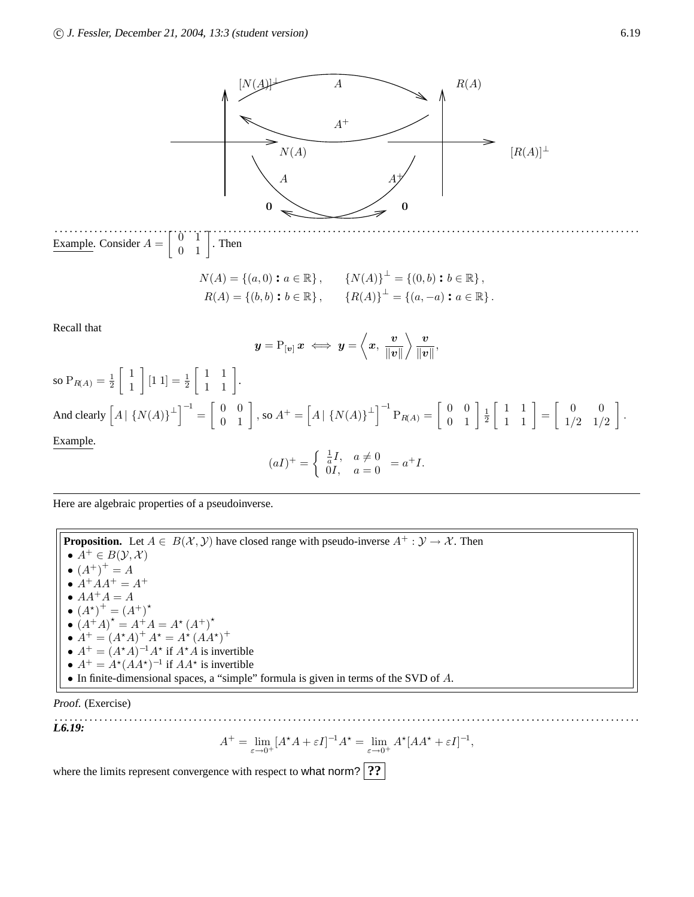

Here are algebraic properties of a pseudoinverse.

**Proposition.** Let  $A \in B(\mathcal{X}, \mathcal{Y})$  have closed range with pseudo-inverse  $A^+ : \mathcal{Y} \to \mathcal{X}$ . Then •  $A^+ \in B(\mathcal{Y}, \mathcal{X})$ •  $(A^{+})^{+} = A$ •  $A^{+}AA^{+} = A^{+}$  $\bullet$   $AA^+A=A$ •  $(A^*)^+ = (A^+)^*$ •  $(A^{\dagger}A)^* = A^{\dagger}A = A^*(A^+)^*$ •  $A^+ = (A^*A)^+ A^* = A^* (A A^*)^+$ •  $A^+ = (A^*A)^{-1}A^*$  if  $A^*A$  is invertible •  $A^+ = A^*(AA^*)^{-1}$  if  $AA^*$  is invertible • In finite-dimensional spaces, a "simple" formula is given in terms of the SVD of A.

Proof. (Exercise)

. . . . . . . . . . . . . . . . . . . . . . . . . . . . . . . . . . . . . . . . . . . . . . . . . . . . . . . . . . . . . . . . . . . . . . . . . . . . . . . . . . . . . . . . . . . . . . . . . . . . . . . . . . . . . . . . . . . . . . **L6.19:**

$$
A^{+} = \lim_{\varepsilon \to 0^{+}} [A^{\star} A + \varepsilon I]^{-1} A^{\star} = \lim_{\varepsilon \to 0^{+}} A^{\star} [A A^{\star} + \varepsilon I]^{-1},
$$

where the limits represent convergence with respect to what norm? **??** 

A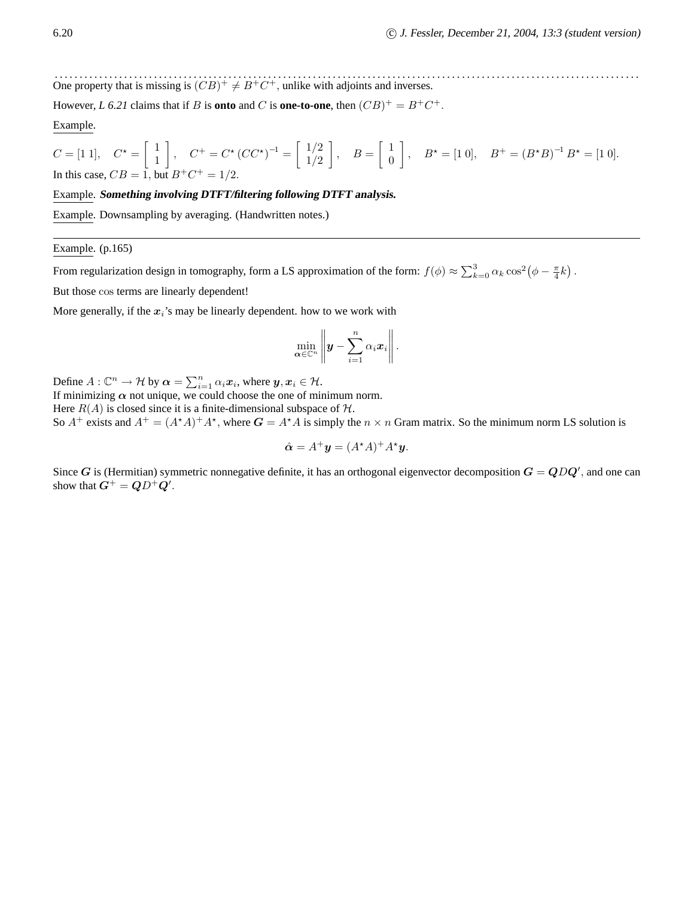. . . . . . . . . . . . . . . . . . . . . . . . . . . . . . . . . . . . . . . . . . . . . . . . . . . . . . . . . . . . . . . . . . . . . . . . . . . . . . . . . . . . . . . . . . . . . . . . . . . . . . . . . . . . . . . . . . . . . . One property that is missing is  $(CB)^+ \neq B^+C^+$ , unlike with adjoints and inverses.

However, *L* 6.21 claims that if *B* is **onto** and *C* is **one-to-one**, then  $(CB)^{+} = B^{+}C^{+}$ .

#### Example.

$$
C = \begin{bmatrix} 1 & 1 \end{bmatrix}, \quad C^{\star} = \begin{bmatrix} 1 \\ 1 \end{bmatrix}, \quad C^{+} = C^{\star} \left( CC^{\star} \right)^{-1} = \begin{bmatrix} 1/2 \\ 1/2 \end{bmatrix}, \quad B = \begin{bmatrix} 1 \\ 0 \end{bmatrix}, \quad B^{\star} = \begin{bmatrix} 1 & 0 \end{bmatrix}, \quad B^{+} = \left( B^{\star} B \right)^{-1} B^{\star} = \begin{bmatrix} 1 & 0 \end{bmatrix}.
$$
  
In this case,  $CB = 1$ , but  $B^{+}C^{+} = 1/2$ .

#### Example. **Something involving DTFT/filtering following DTFT analysis.**

Example. Downsampling by averaging. (Handwritten notes.)

#### Example. (p.165)

From regularization design in tomography, form a LS approximation of the form:  $f(\phi) \approx \sum_{k=0}^{3} \alpha_k \cos^2(\phi - \frac{\pi}{4}k)$ .

But those cos terms are linearly dependent!

More generally, if the  $x_i$ 's may be linearly dependent. how to we work with

$$
\min_{\boldsymbol{\alpha}\in\mathbb{C}^n}\left\|\boldsymbol{y}-\sum_{i=1}^n\alpha_i\boldsymbol{x}_i\right\|.
$$

Define  $A: \mathbb{C}^n \to \mathcal{H}$  by  $\boldsymbol{\alpha} = \sum_{i=1}^n \alpha_i \boldsymbol{x}_i$ , where  $\boldsymbol{y}, \boldsymbol{x}_i \in \mathcal{H}$ .

If minimizing  $\alpha$  not unique, we could choose the one of minimum norm.

Here  $R(A)$  is closed since it is a finite-dimensional subspace of  $H$ .

So  $A^+$  exists and  $A^+ = (A^*A)^+A^*$ , where  $G = A^*A$  is simply the  $n \times n$  Gram matrix. So the minimum norm LS solution is

$$
\hat{\mathbf{\alpha}} = A^{+} \mathbf{y} = (A^{*} A)^{+} A^{*} \mathbf{y}.
$$

Since G is (Hermitian) symmetric nonnegative definite, it has an orthogonal eigenvector decomposition  $G = QDQ'$ , and one can show that  $G^+ = QD^+Q'$ .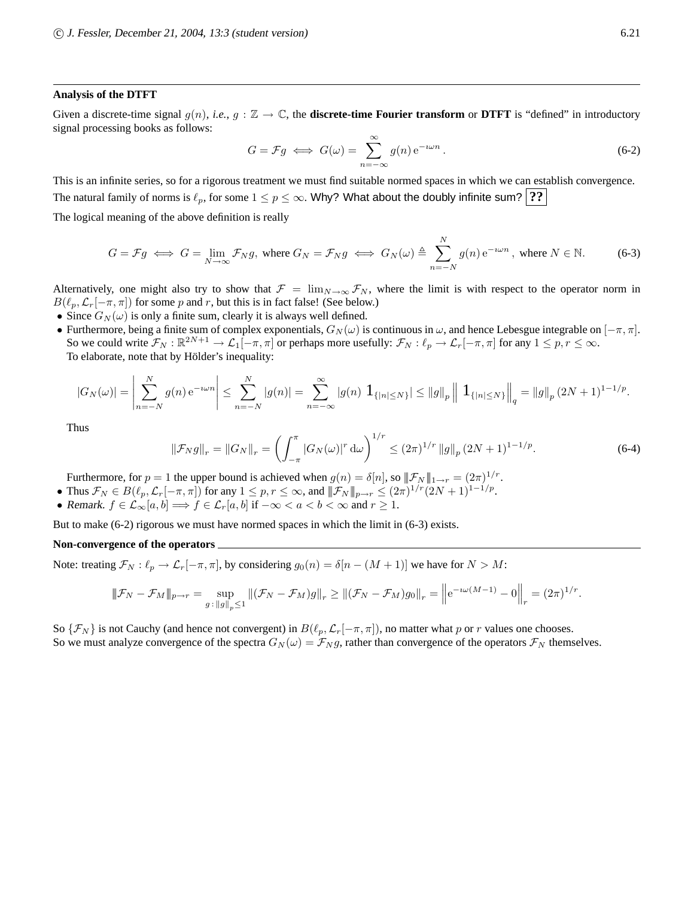#### **Analysis of the DTFT**

Given a discrete-time signal  $g(n)$ , *i.e.*,  $g : \mathbb{Z} \to \mathbb{C}$ , the **discrete-time Fourier transform** or **DTFT** is "defined" in introductory signal processing books as follows:

$$
G = \mathcal{F}g \iff G(\omega) = \sum_{n = -\infty}^{\infty} g(n) e^{-i\omega n} .
$$
 (6-2)

This is an infinite series, so for a rigorous treatment we must find suitable normed spaces in which we can establish convergence. The natural family of norms is  $\ell_p$ , for some  $1 \leq p \leq \infty$ . Why? What about the doubly infinite sum? **??** 

The logical meaning of the above definition is really

$$
G = \mathcal{F}g \iff G = \lim_{N \to \infty} \mathcal{F}_N g, \text{ where } G_N = \mathcal{F}_N g \iff G_N(\omega) \triangleq \sum_{n=-N}^{N} g(n) e^{-i\omega n}, \text{ where } N \in \mathbb{N}. \tag{6-3}
$$

Alternatively, one might also try to show that  $\mathcal{F} = \lim_{N \to \infty} \mathcal{F}_N$ , where the limit is with respect to the operator norm in  $B(\ell_p, \mathcal{L}_r[-\pi, \pi])$  for some p and r, but this is in fact false! (See below.)

- Since  $G_N(\omega)$  is only a finite sum, clearly it is always well defined.
- Furthermore, being a finite sum of complex exponentials,  $G_N(\omega)$  is continuous in  $\omega$ , and hence Lebesgue integrable on  $[-\pi, \pi]$ . So we could write  $\mathcal{F}_N : \mathbb{R}^{2N+1} \to \mathcal{L}_1[-\pi, \pi]$  or perhaps more usefully:  $\mathcal{F}_N : \ell_p \to \mathcal{L}_r[-\pi, \pi]$  for any  $1 \leq p, r \leq \infty$ . To elaborate, note that by Hölder's inequality:

$$
|G_N(\omega)| = \left| \sum_{n=-N}^N g(n) e^{-i\omega n} \right| \le \sum_{n=-N}^N |g(n)| = \sum_{n=-\infty}^{\infty} |g(n)| \mathbf{1}_{\{|n| \le N\}} \le ||g||_p \left|| \mathbf{1}_{\{|n| \le N\}} \right||_q = ||g||_p (2N+1)^{1-1/p}.
$$

Thus

$$
\|\mathcal{F}_N g\|_r = \|G_N\|_r = \left(\int_{-\pi}^{\pi} |G_N(\omega)|^r \, d\omega\right)^{1/r} \le (2\pi)^{1/r} \|g\|_p (2N+1)^{1-1/p}.
$$
 (6-4)

Furthermore, for  $p = 1$  the upper bound is achieved when  $g(n) = \delta[n]$ , so  $||\mathcal{F}_N||_{1 \to r} = (2\pi)^{1/r}$ .

- Thus  $\mathcal{F}_N \in B(\ell_p, \mathcal{L}_r[-\pi, \pi])$  for any  $1 \leq p, r \leq \infty$ , and  $\|\mathcal{F}_N\|_{p \to r} \leq (2\pi)^{1/r} (2N+1)^{1-1/p}$ .
- Remark.  $f \in \mathcal{L}_{\infty}[a, b] \Longrightarrow f \in \mathcal{L}_r[a, b]$  if  $-\infty < a < b < \infty$  and  $r \geq 1$ .

But to make (6-2) rigorous we must have normed spaces in which the limit in (6-3) exists.

#### **Non-convergence of the operators**

Note: treating  $\mathcal{F}_N : \ell_p \to \mathcal{L}_r[-\pi, \pi]$ , by considering  $g_0(n) = \delta[n - (M + 1)]$  we have for  $N > M$ :

$$
\|\mathcal{F}_N - \mathcal{F}_M\|_{p \to r} = \sup_{g \,:\, \|g\|_p \le 1} \|(\mathcal{F}_N - \mathcal{F}_M)g\|_r \ge \|(\mathcal{F}_N - \mathcal{F}_M)g_0\|_r = \left\| e^{-i\omega(M-1)} - 0 \right\|_r = (2\pi)^{1/r}
$$

So  $\{\mathcal{F}_N\}$  is not Cauchy (and hence not convergent) in  $B(\ell_p,\mathcal{L}_r[-\pi,\pi])$ , no matter what p or r values one chooses. So we must analyze convergence of the spectra  $G_N(\omega) = \mathcal{F}_N g$ , rather than convergence of the operators  $\mathcal{F}_N$  themselves.

.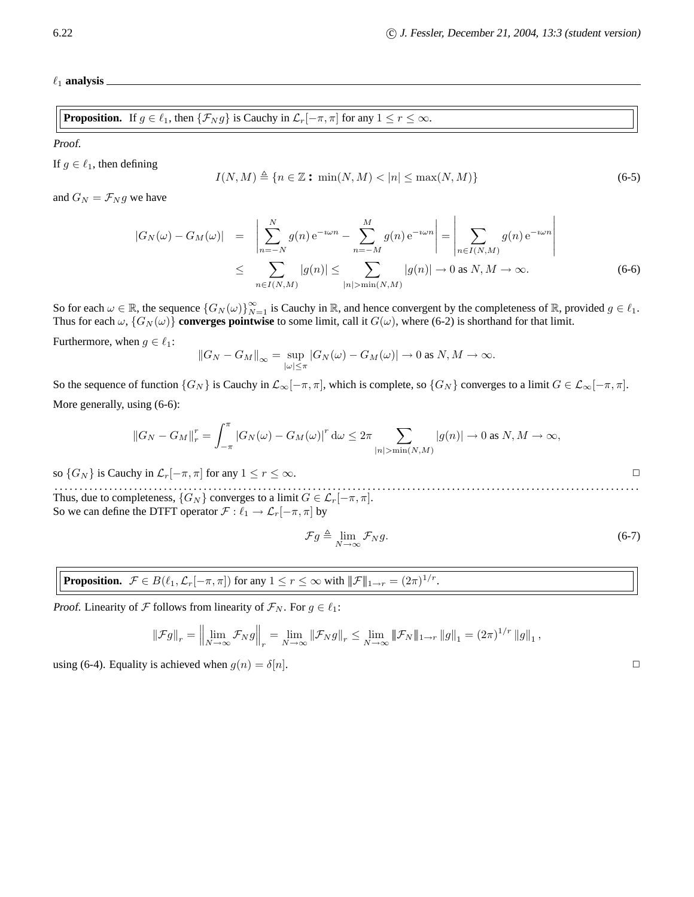$\ell_1$  analysis  $\blacksquare$ 

**Proposition.** If 
$$
g \in \ell_1
$$
, then  $\{\mathcal{F}_N g\}$  is Cauchy in  $\mathcal{L}_r[-\pi, \pi]$  for any  $1 \le r \le \infty$ .

Proof.

If  $g \in \ell_1$ , then defining

$$
I(N, M) \triangleq \{ n \in \mathbb{Z} \text{ : } \min(N, M) < |n| \le \max(N, M) \} \tag{6-5}
$$

and  $G_N = \mathcal{F}_N g$  we have

$$
|G_N(\omega) - G_M(\omega)| = \left| \sum_{n=-N}^N g(n) e^{-i\omega n} - \sum_{n=-M}^M g(n) e^{-i\omega n} \right| = \left| \sum_{n \in I(N,M)} g(n) e^{-i\omega n} \right|
$$
  

$$
\leq \sum_{n \in I(N,M)} |g(n)| \leq \sum_{|n| > \min(N,M)} |g(n)| \to 0 \text{ as } N,M \to \infty.
$$
 (6-6)

So for each  $\omega \in \mathbb{R}$ , the sequence  $\{G_N(\omega)\}_{N=1}^{\infty}$  is Cauchy in  $\mathbb{R}$ , and hence convergent by the completeness of  $\mathbb{R}$ , provided  $g \in \ell_1$ . Thus for each  $\omega$ ,  $\{G_N(\omega)\}\)$  converges pointwise to some limit, call it  $G(\omega)$ , where (6-2) is shorthand for that limit.

Furthermore, when  $g \in \ell_1$ :

$$
||G_N - G_M||_{\infty} = \sup_{|\omega| \le \pi} |G_N(\omega) - G_M(\omega)| \to 0 \text{ as } N, M \to \infty.
$$

So the sequence of function  $\{G_N\}$  is Cauchy in  $\mathcal{L}_{\infty}[-\pi, \pi]$ , which is complete, so  $\{G_N\}$  converges to a limit  $G \in \mathcal{L}_{\infty}[-\pi, \pi]$ . More generally, using (6-6):

$$
||G_N - G_M||_r^r = \int_{-\pi}^{\pi} |G_N(\omega) - G_M(\omega)|^r d\omega \leq 2\pi \sum_{|n| > \min(N,M)} |g(n)| \to 0 \text{ as } N, M \to \infty,
$$

so  $\{G_N\}$  is Cauchy in  $\mathcal{L}_r[-\pi, \pi]$  for any  $1 \le r \le \infty$ .

. . . . . . . . . . . . . . . . . . . . . . . . . . . . . . . . . . . . . . . . . . . . . . . . . . . . . . . . . . . . . . . . . . . . . . . . . . . . . . . . . . . . . . . . . . . . . . . . . . . . . . . . . . . . . . . . . . . . . . Thus, due to completeness,  $\{G_N\}$  converges to a limit  $G \in \mathcal{L}_r[-\pi, \pi]$ . So we can define the DTFT operator  $\mathcal{F} : \ell_1 \to \mathcal{L}_r[-\pi, \pi]$  by

$$
\mathcal{F}g \triangleq \lim_{N \to \infty} \mathcal{F}_N g. \tag{6-7}
$$

**Proposition.**  $\mathcal{F} \in B(\ell_1, \mathcal{L}_r[-\pi, \pi])$  for any  $1 \leq r \leq \infty$  with  $\|\mathcal{F}\|_{1 \to r} = (2\pi)^{1/r}$ .

*Proof.* Linearity of  $\mathcal F$  follows from linearity of  $\mathcal F_N$ . For  $g \in \ell_1$ :

$$
\|\mathcal{F}g\|_{r} = \left\|\lim_{N \to \infty} \mathcal{F}_N g\right\|_{r} = \lim_{N \to \infty} \|\mathcal{F}_N g\|_{r} \le \lim_{N \to \infty} \|\mathcal{F}_N\|_{1 \to r} \|g\|_{1} = (2\pi)^{1/r} \|g\|_{1},
$$

using (6-4). Equality is achieved when  $g(n) = \delta[n]$ .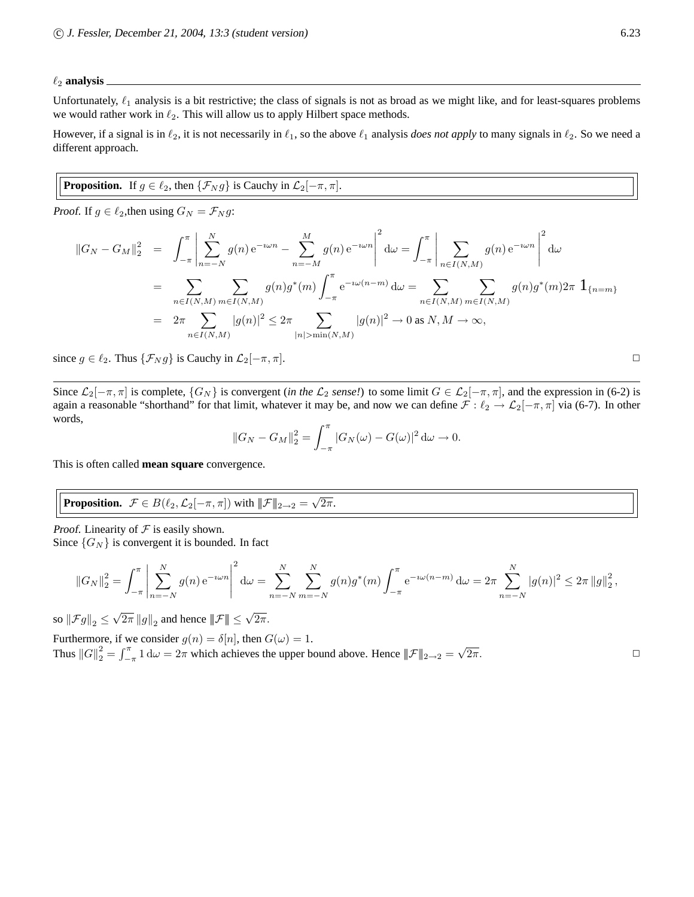#### $\ell_2$  analysis  $\overline{\phantom{a}}$

Unfortunately,  $\ell_1$  analysis is a bit restrictive; the class of signals is not as broad as we might like, and for least-squares problems we would rather work in  $\ell_2$ . This will allow us to apply Hilbert space methods.

However, if a signal is in  $\ell_2$ , it is not necessarily in  $\ell_1$ , so the above  $\ell_1$  analysis *does not apply* to many signals in  $\ell_2$ . So we need a different approach.

# **Proposition.** If  $g \in \ell_2$ , then  $\{\mathcal{F}_N g\}$  is Cauchy in  $\mathcal{L}_2[-\pi, \pi]$ .

Proof. If  $g \in \ell_2$ , then using  $G_N = \mathcal{F}_N g$ :

$$
||G_N - G_M||_2^2 = \int_{-\pi}^{\pi} \left| \sum_{n=-N}^N g(n) e^{-i\omega n} - \sum_{n=-M}^M g(n) e^{-i\omega n} \right|^2 d\omega = \int_{-\pi}^{\pi} \left| \sum_{n \in I(N,M)} g(n) e^{-i\omega n} \right|^2 d\omega
$$
  
= 
$$
\sum_{n \in I(N,M)} \sum_{m \in I(N,M)} g(n) g^*(m) \int_{-\pi}^{\pi} e^{-i\omega (n-m)} d\omega = \sum_{n \in I(N,M)} \sum_{m \in I(N,M)} g(n) g^*(m) 2\pi \mathbf{1}_{\{n=m\}}
$$
  
= 
$$
2\pi \sum_{n \in I(N,M)} |g(n)|^2 \leq 2\pi \sum_{|n| > \min(N,M)} |g(n)|^2 \to 0 \text{ as } N, M \to \infty,
$$

since  $g \in \ell_2$ . Thus  $\{\mathcal{F}_N g\}$  is Cauchy in  $\mathcal{L}_2[-\pi, \pi]$ .

Since  $\mathcal{L}_2[-\pi,\pi]$  is complete,  $\{G_N\}$  is convergent (*in the*  $\mathcal{L}_2$  *sense!*) to some limit  $G \in \mathcal{L}_2[-\pi,\pi]$ , and the expression in (6-2) is again a reasonable "shorthand" for that limit, whatever it may be, and now we can define  $\mathcal{F} : \ell_2 \to \mathcal{L}_2[-\pi, \pi]$  via (6-7). In other words,

$$
||G_N - G_M||_2^2 = \int_{-\pi}^{\pi} |G_N(\omega) - G(\omega)|^2 d\omega \to 0.
$$

This is often called **mean square** convergence.

**Proposition.** 
$$
\mathcal{F} \in B(\ell_2, \mathcal{L}_2[-\pi, \pi])
$$
 with  $\|\mathcal{F}\|_{2\to 2} = \sqrt{2\pi}$ .

Proof. Linearity of  $F$  is easily shown.

Since  $\{G_N\}$  is convergent it is bounded. In fact

$$
||G_N||_2^2 = \int_{-\pi}^{\pi} \left| \sum_{n=-N}^{N} g(n) e^{-i\omega n} \right|^2 d\omega = \sum_{n=-N}^{N} \sum_{m=-N}^{N} g(n) g^*(m) \int_{-\pi}^{\pi} e^{-i\omega(n-m)} d\omega = 2\pi \sum_{n=-N}^{N} |g(n)|^2 \le 2\pi ||g||_2^2,
$$

so  $\|\mathcal{F}g\|_2 \leq \sqrt{2\pi} \|g\|_2$  and hence  $\|\mathcal{F}\| \leq \sqrt{2\pi}$ .

Furthermore, if we consider  $g(n) = \delta[n]$ , then  $G(\omega) = 1$ . Thus  $||G||_2^2 = \int_{-\pi}^{\pi} 1 \, d\omega = 2\pi$  which achieves the upper bound above. Hence  $||\mathcal{F}||_{2\to 2} = \sqrt{\frac{\pi}{2}}$  $\overline{2\pi}$ .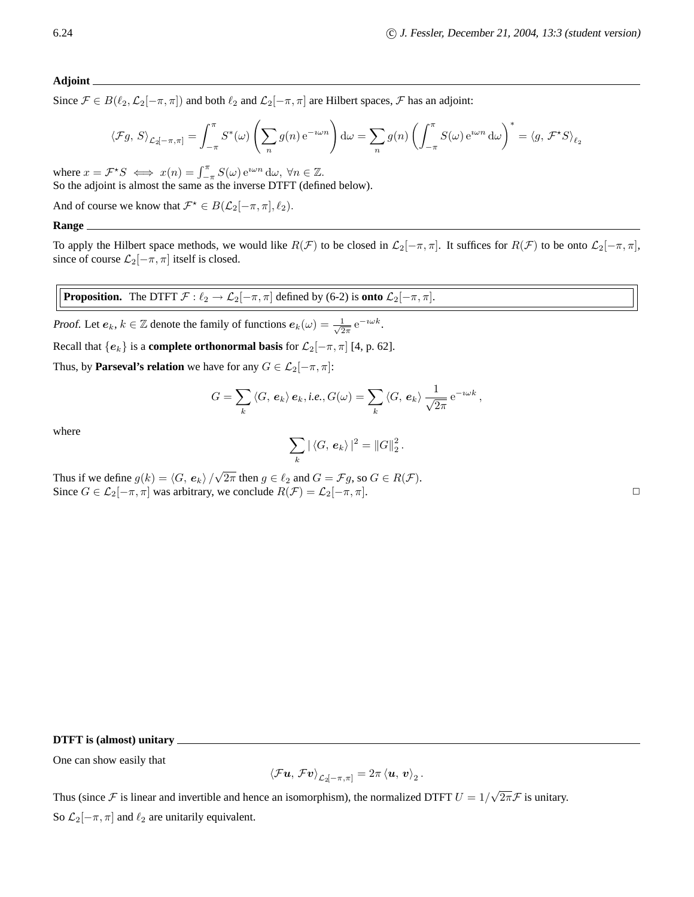#### **Adjoint**

Since  $\mathcal{F} \in B(\ell_2,\mathcal{L}_2[-\pi,\pi])$  and both  $\ell_2$  and  $\mathcal{L}_2[-\pi,\pi]$  are Hilbert spaces,  $\mathcal{F}$  has an adjoint:

$$
\langle \mathcal{F}g, S \rangle_{\mathcal{L}_2[-\pi,\pi]} = \int_{-\pi}^{\pi} S^*(\omega) \left( \sum_n g(n) e^{-i\omega n} \right) d\omega = \sum_n g(n) \left( \int_{-\pi}^{\pi} S(\omega) e^{i\omega n} d\omega \right)^* = \langle g, \mathcal{F}^*S \rangle_{\ell_2}
$$

where  $x = \mathcal{F}^*S \iff x(n) = \int_{-\pi}^{\pi} S(\omega) e^{i\omega n} d\omega, \forall n \in \mathbb{Z}$ . So the adjoint is almost the same as the inverse DTFT (defined below).

And of course we know that  $\mathcal{F}^* \in B(\mathcal{L}_2[-\pi,\pi], \ell_2)$ .

**Range**

To apply the Hilbert space methods, we would like  $R(\mathcal{F})$  to be closed in  $\mathcal{L}_2[-\pi,\pi]$ . It suffices for  $R(\mathcal{F})$  to be onto  $\mathcal{L}_2[-\pi,\pi]$ , since of course  $\mathcal{L}_2[-\pi,\pi]$  itself is closed.

**Proposition.** The DTFT  $\mathcal{F} : \ell_2 \to \mathcal{L}_2[-\pi, \pi]$  defined by (6-2) is **onto**  $\mathcal{L}_2[-\pi, \pi]$ .

Proof. Let  $e_k$ ,  $k \in \mathbb{Z}$  denote the family of functions  $e_k(\omega) = \frac{1}{\sqrt{2}}$  $rac{1}{2\pi}e^{-i\omega k}$ .

Recall that  ${e_k}$  is a **complete orthonormal basis** for  $\mathcal{L}_2[-\pi, \pi]$  [4, p. 62].

Thus, by **Parseval's relation** we have for any  $G \in \mathcal{L}_2[-\pi, \pi]$ :

$$
G = \sum_{k} \langle G, e_k \rangle e_k, i.e., G(\omega) = \sum_{k} \langle G, e_k \rangle \frac{1}{\sqrt{2\pi}} e^{-i\omega k},
$$

where

$$
\sum_{k} |\langle G, e_{k} \rangle|^{2} = ||G||_{2}^{2}
$$

.

Thus if we define  $g(k) = \langle G, e_k \rangle / \sqrt{2\pi}$  then  $g \in \ell_2$  and  $G = \mathcal{F}g$ , so  $G \in R(\mathcal{F})$ . Since  $G \in \mathcal{L}_2[-\pi, \pi]$  was arbitrary, we conclude  $R(\mathcal{F}) = \mathcal{L}_2[-\pi, \pi]$ .

**DTFT is (almost) unitary**

One can show easily that

$$
\left\langle \mathcal{F}\bm{u},\,\mathcal{F}\bm{v}\right\rangle _{\mathcal{L}_2\left[-\pi,\pi\right]}=2\pi\left\langle \bm{u},\,\bm{v}\right\rangle _2.
$$

Thus (since F is linear and invertible and hence an isomorphism), the normalized DTFT  $U = 1/\sqrt{2\pi}$  is unitary. So  $\mathcal{L}_2[-\pi, \pi]$  and  $\ell_2$  are unitarily equivalent.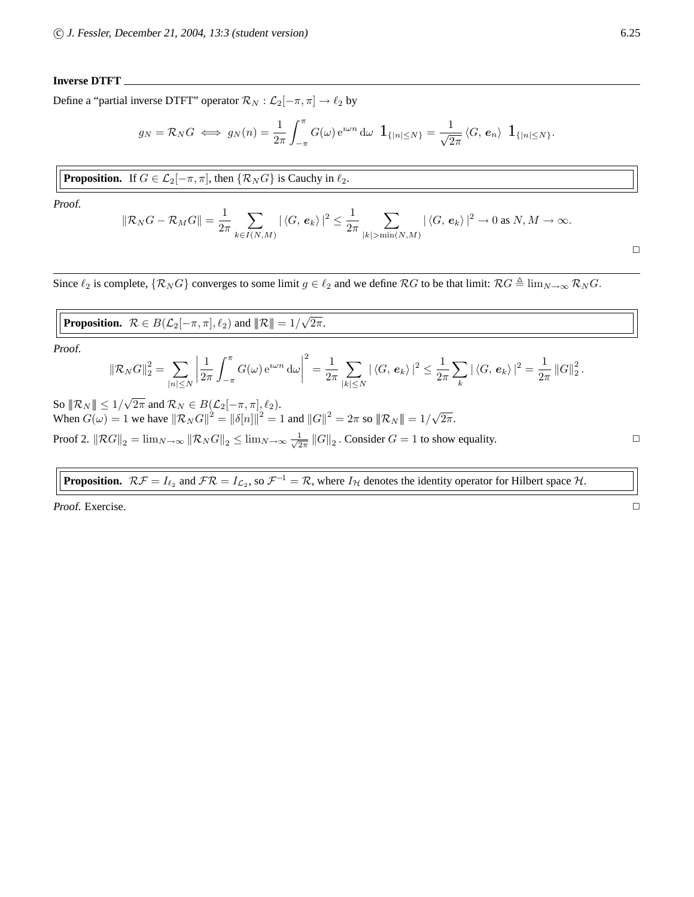#### **Inverse DTFT**

Define a "partial inverse DTFT" operator  $\mathcal{R}_N : \mathcal{L}_2[-\pi, \pi] \to \ell_2$  by

$$
g_N = \mathcal{R}_N G \iff g_N(n) = \frac{1}{2\pi} \int_{-\pi}^{\pi} G(\omega) e^{i\omega n} d\omega \mathbf{1}_{\{|n| \leq N\}} = \frac{1}{\sqrt{2\pi}} \langle G, e_n \rangle \mathbf{1}_{\{|n| \leq N\}}.
$$

**Proposition.** If 
$$
G \in \mathcal{L}_2[-\pi, \pi]
$$
, then  $\{R_N G\}$  is Cauchy in  $\ell_2$ .

Proof.

$$
\|\mathcal{R}_N G - \mathcal{R}_M G\| = \frac{1}{2\pi} \sum_{k \in I(N,M)} |\langle G, e_k \rangle|^2 \le \frac{1}{2\pi} \sum_{|k| > \min(N,M)} |\langle G, e_k \rangle|^2 \to 0 \text{ as } N,M \to \infty.
$$

Since  $\ell_2$  is complete,  $\{\mathcal{R}_N G\}$  converges to some limit  $g \in \ell_2$  and we define  $\mathcal{R}G$  to be that limit:  $\mathcal{R}G \triangleq \lim_{N \to \infty} \mathcal{R}_N G$ .

**Proposition.**  $\mathcal{R} \in B(\mathcal{L}_2[-\pi,\pi], \ell_2)$  and  $\|\mathcal{R}\| = 1/\sqrt{2\pi}$ .

Proof.

$$
\|\mathcal{R}_N G\|_2^2 = \sum_{|n| \leq N} \left| \frac{1}{2\pi} \int_{-\pi}^{\pi} G(\omega) e^{i\omega n} d\omega \right|^2 = \frac{1}{2\pi} \sum_{|k| \leq N} |\langle G, e_k \rangle|^2 \leq \frac{1}{2\pi} \sum_{k} |\langle G, e_k \rangle|^2 = \frac{1}{2\pi} \|G\|_2^2.
$$

So  $||\mathcal{R}_N|| \leq 1/\sqrt{2\pi}$  and  $\mathcal{R}_N \in B(\mathcal{L}_2[-\pi,\pi], \ell_2)$ . When  $G(\omega) = 1$  we have  $||R_N G||^2 = ||\delta[n]||^2 = 1$  and  $||G||^2 = 2\pi$  so  $||R_N|| = 1/\sqrt{2\pi}$ . Proof 2.  $\|\mathcal{R}G\|_2 = \lim_{N\to\infty} \|\mathcal{R}_N G\|_2 \le \lim_{N\to\infty} \frac{1}{\sqrt{2}}$  $\frac{1}{2\pi}$   $||G||_2$ . Consider  $G = 1$  to show equality.

**Proposition.**  $R\mathcal{F} = I_{\ell_2}$  and  $\mathcal{F}R = I_{\mathcal{L}_2}$ , so  $\mathcal{F}^{-1} = \mathcal{R}$ , where  $I_{\mathcal{H}}$  denotes the identity operator for Hilbert space  $\mathcal{H}$ .

Proof. Exercise.

 $\Box$ 

$$
\qquad \qquad \Box
$$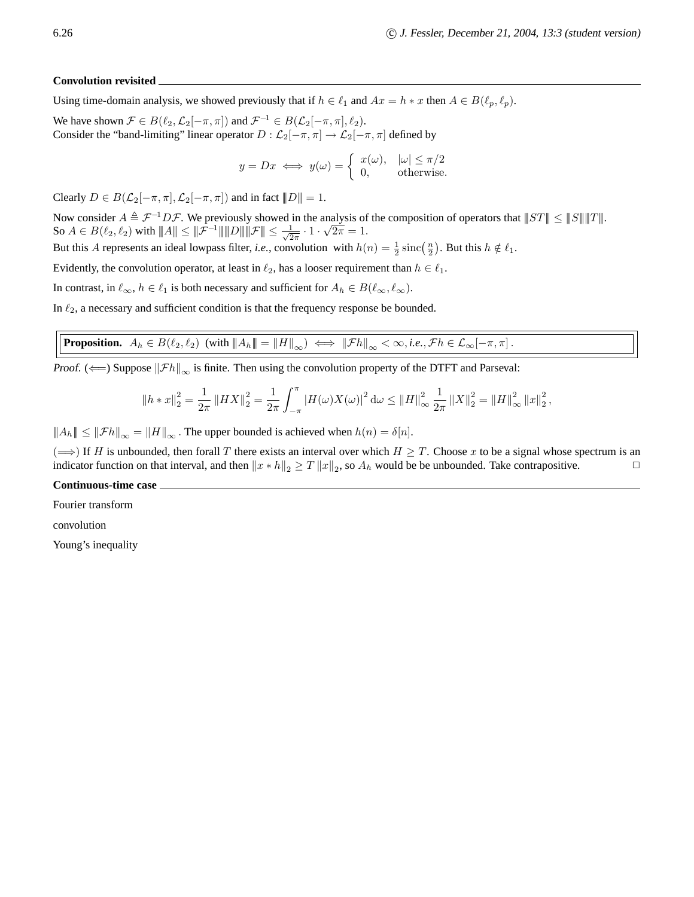#### **Convolution revisited**

Using time-domain analysis, we showed previously that if  $h \in \ell_1$  and  $Ax = h * x$  then  $A \in B(\ell_p, \ell_p)$ .

We have shown  $\mathcal{F} \in B(\ell_2, \mathcal{L}_2[-\pi, \pi])$  and  $\mathcal{F}^{-1} \in B(\mathcal{L}_2[-\pi, \pi], \ell_2)$ . Consider the "band-limiting" linear operator  $D : \mathcal{L}_2[-\pi, \pi] \to \mathcal{L}_2[-\pi, \pi]$  defined by

$$
y = Dx \iff y(\omega) = \begin{cases} x(\omega), & |\omega| \le \pi/2 \\ 0, & \text{otherwise.} \end{cases}
$$

Clearly  $D \in B(\mathcal{L}_2[-\pi,\pi], \mathcal{L}_2[-\pi,\pi])$  and in fact  $||D|| = 1$ .

Now consider  $A \triangleq \mathcal{F}^{-1}D\mathcal{F}$ . We previously showed in the analysis of the composition of operators that  $||ST|| \le ||S|| ||T||$ . So  $A \in B(\ell_2, \ell_2)$  with  $|\!|\!| A |\!|\!| \le |\!|\!| \mathcal{F}^{-1} |\!|\!| \, |\!|\!| D |\!|\!| |\!|\!| \mathcal{F} |\!|\!| \le \frac{1}{\sqrt{2}}$  $\frac{1}{2\pi} \cdot 1 \cdot \sqrt{2\pi} = 1.$ 

But this A represents an ideal lowpass filter, *i.e.*, convolution with  $h(n) = \frac{1}{2} \operatorname{sinc}(\frac{n}{2})$ . But this  $h \notin \ell_1$ .

Evidently, the convolution operator, at least in  $\ell_2$ , has a looser requirement than  $h \in \ell_1$ .

In contrast, in  $\ell_{\infty}$ ,  $h \in \ell_1$  is both necessary and sufficient for  $A_h \in B(\ell_{\infty}, \ell_{\infty})$ .

In  $\ell_2$ , a necessary and sufficient condition is that the frequency response be bounded.

# **Proposition.**  $A_h \in B(\ell_2, \ell_2)$  (with  $||A_h|| = ||H||_{\infty} \iff ||\mathcal{F}h||_{\infty} < \infty$ , *i.e.*,  $\mathcal{F}h \in \mathcal{L}_{\infty}[-\pi, \pi]$ .

*Proof.* ( $\Longleftarrow$ ) Suppose  $\|\mathcal{F}h\|_{\infty}$  is finite. Then using the convolution property of the DTFT and Parseval:

$$
\|h * x\|_2^2 = \frac{1}{2\pi} \left\|H X\right\|_2^2 = \frac{1}{2\pi} \int_{-\pi}^{\pi} \left|H(\omega)X(\omega)\right|^2 d\omega \le \|H\|_{\infty}^2 \frac{1}{2\pi} \left\|X\right\|_2^2 = \left\|H\right\|_{\infty}^2 \left\|x\right\|_2^2,
$$

 $||A_h|| \leq ||\mathcal{F}h||_{\infty} = ||H||_{\infty}$ . The upper bounded is achieved when  $h(n) = \delta[n].$ 

( $\Rightarrow$ ) If H is unbounded, then forall T there exists an interval over which  $H \geq T$ . Choose x to be a signal whose spectrum is an indicator function on that interval, and then  $||x * h||_2 > T ||x||_2$ , so  $A_k$  would be be unboun indicator function on that interval, and then  $||x * h||_2 \ge T ||x||_2$ , so  $A_h$  would be be unbounded. Take contrapositive.

#### **Continuous-time case**

Fourier transform

convolution

Young's inequality